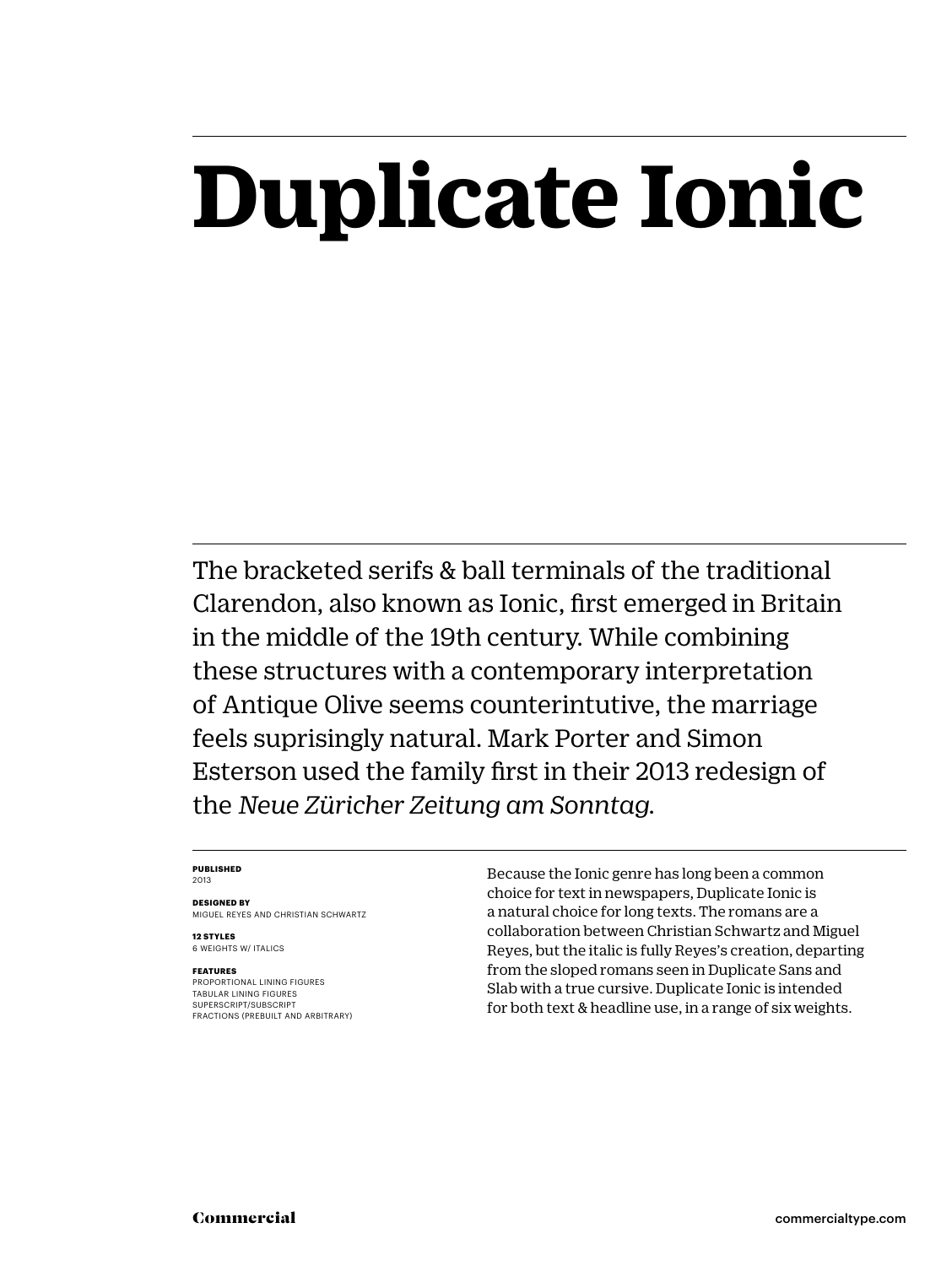## **Duplicate Ionic**

The bracketed serifs & ball terminals of the traditional Clarendon, also known as Ionic, first emerged in Britain in the middle of the 19th century. While combining these structures with a contemporary interpretation of Antique Olive seems counterintutive, the marriage feels suprisingly natural. Mark Porter and Simon Esterson used the family first in their 2013 redesign of the *Neue Züricher Zeitung am Sonntag.*

#### **PUBLISHED** 2013

**DESIGNED BY** MIGUEL REYES AND CHRISTIAN SCHWARTZ

**12 STYLES** 6 WEIGHTS W/ ITALICS

#### **FEATURES**

PROPORTIONAL LINING FIGURES TABULAR LINING FIGURES SUPERSCRIPT/SUBSCRIPT FRACTIONS (PREBUILT AND ARBITRARY) Because the Ionic genre has long been a common choice for text in newspapers, Duplicate Ionic is a natural choice for long texts. The romans are a collaboration between Christian Schwartz and Miguel Reyes, but the italic is fully Reyes's creation, departing from the sloped romans seen in Duplicate Sans and Slab with a true cursive. Duplicate Ionic is intended for both text & headline use, in a range of six weights.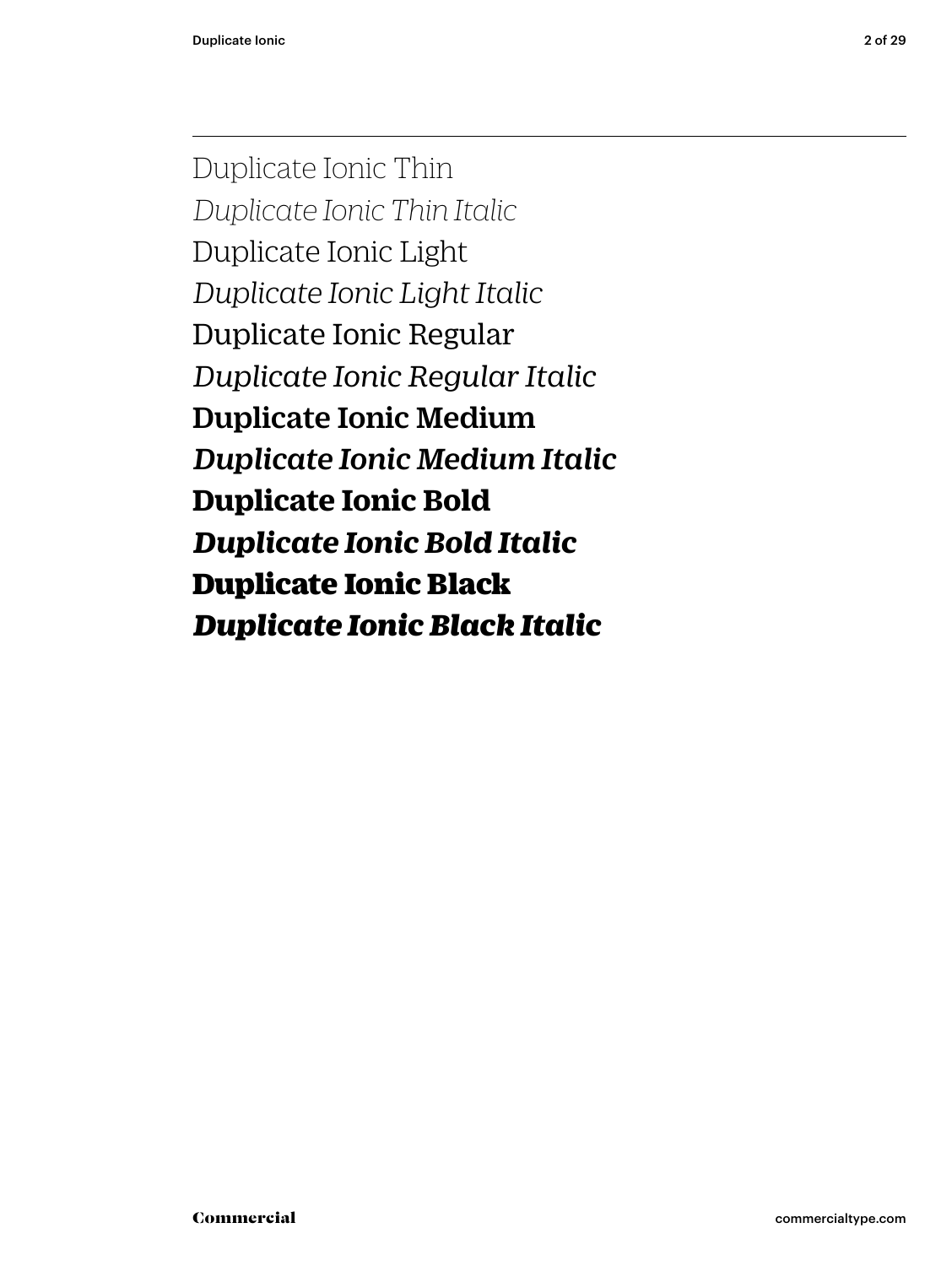Duplicate Ionic Thin *Duplicate Ionic Thin Italic* Duplicate Ionic Light *Duplicate Ionic Light Italic* Duplicate Ionic Regular *Duplicate Ionic Regular Italic* Duplicate Ionic Medium *Duplicate Ionic Medium Italic* **Duplicate Ionic Bold** *Duplicate Ionic Bold Italic* Duplicate Ionic Black *Duplicate Ionic Black Italic*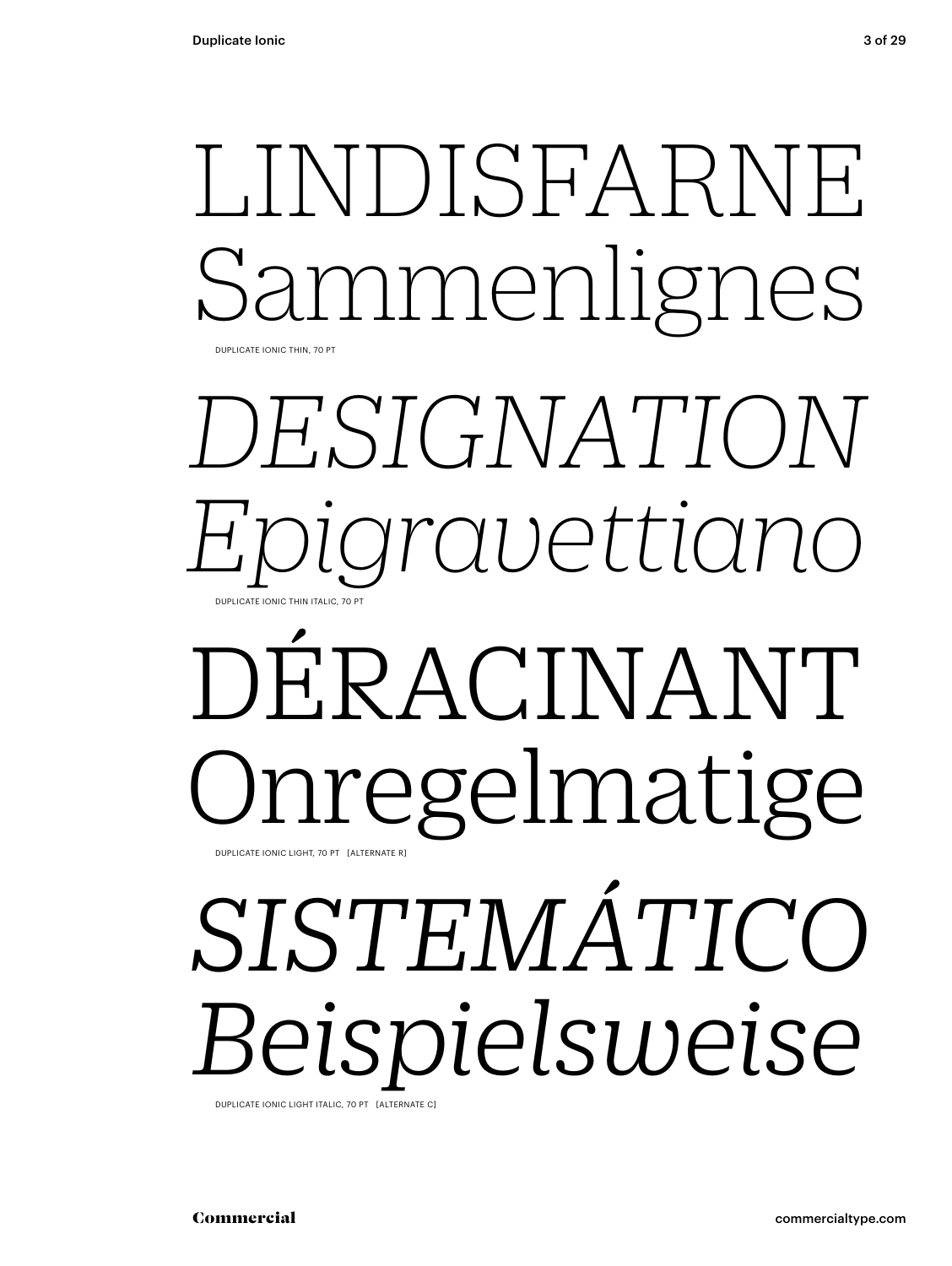## LINDISFARNE nmenlignes DUPLICATE IONIC THIN, 70 PT

## *DESIGNATION Epigravettiano* DUPLICATE IONIC THIN ITALIC, 70 PT

## DÉRACINANT Onregelmatige DUPLICATE IONIC LIGHT, 70 PT [ALTERNATE R]

# *SISTEMÁTICO Beispielsweise*

DUPLICATE IONIC LIGHT ITALIC, 70 PT [ALTERNATE C]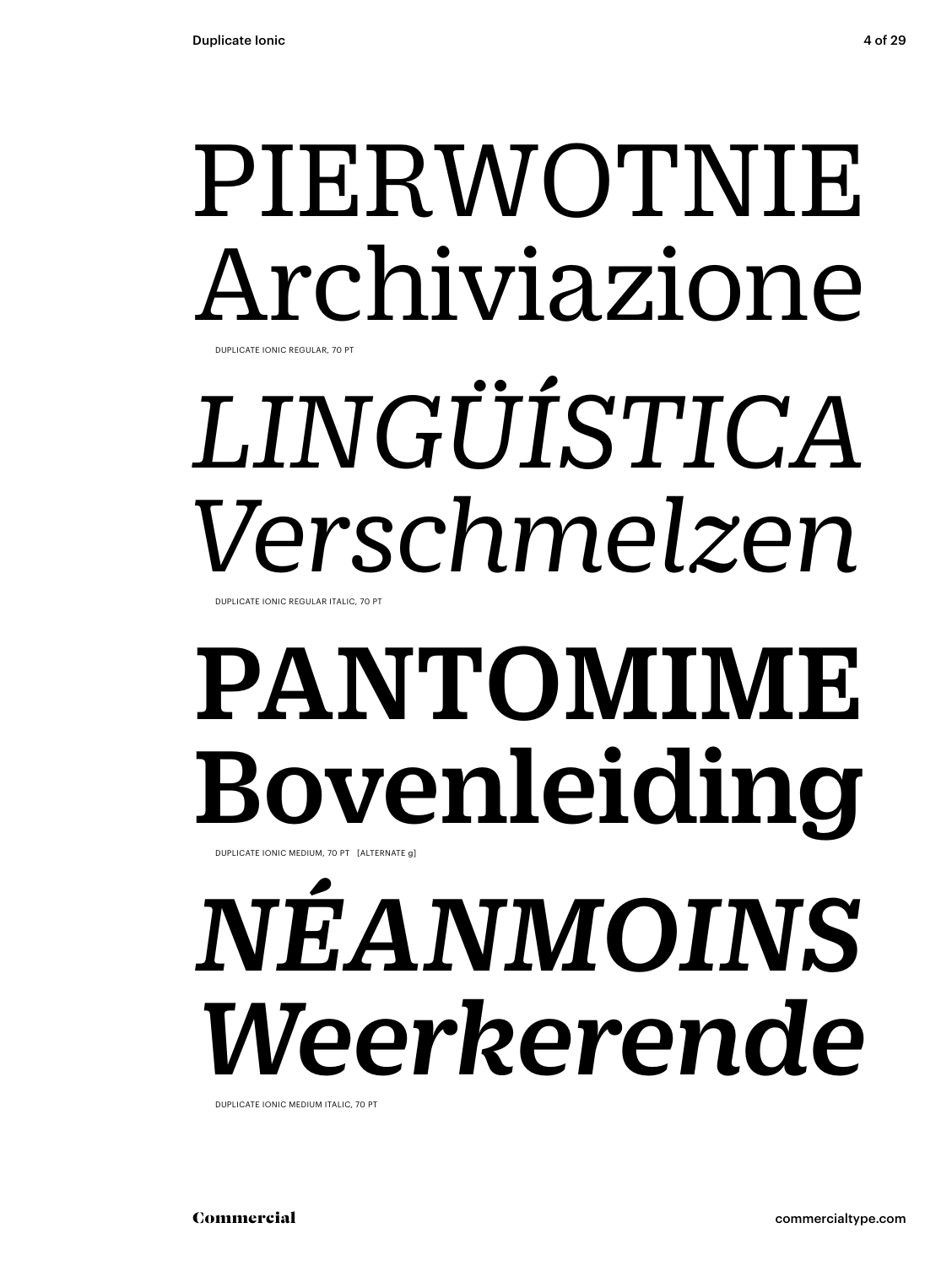## PIERWOTNIE Archiviazione DUPLICATE IONIC REGULAR, 70 PT

# *LINGÜÍSTICA Verschmelzen*

DUPLICATE IONIC REGULAR ITALIC, 70 PT

# PANTOMIME Bovenleiding

DUPLICATE IONIC MEDIUM, 70 PT [ALTERNATE g]

# *NÉANMOINS Weerkerende*

DUPLICATE IONIC MEDIUM ITALIC, 70 PT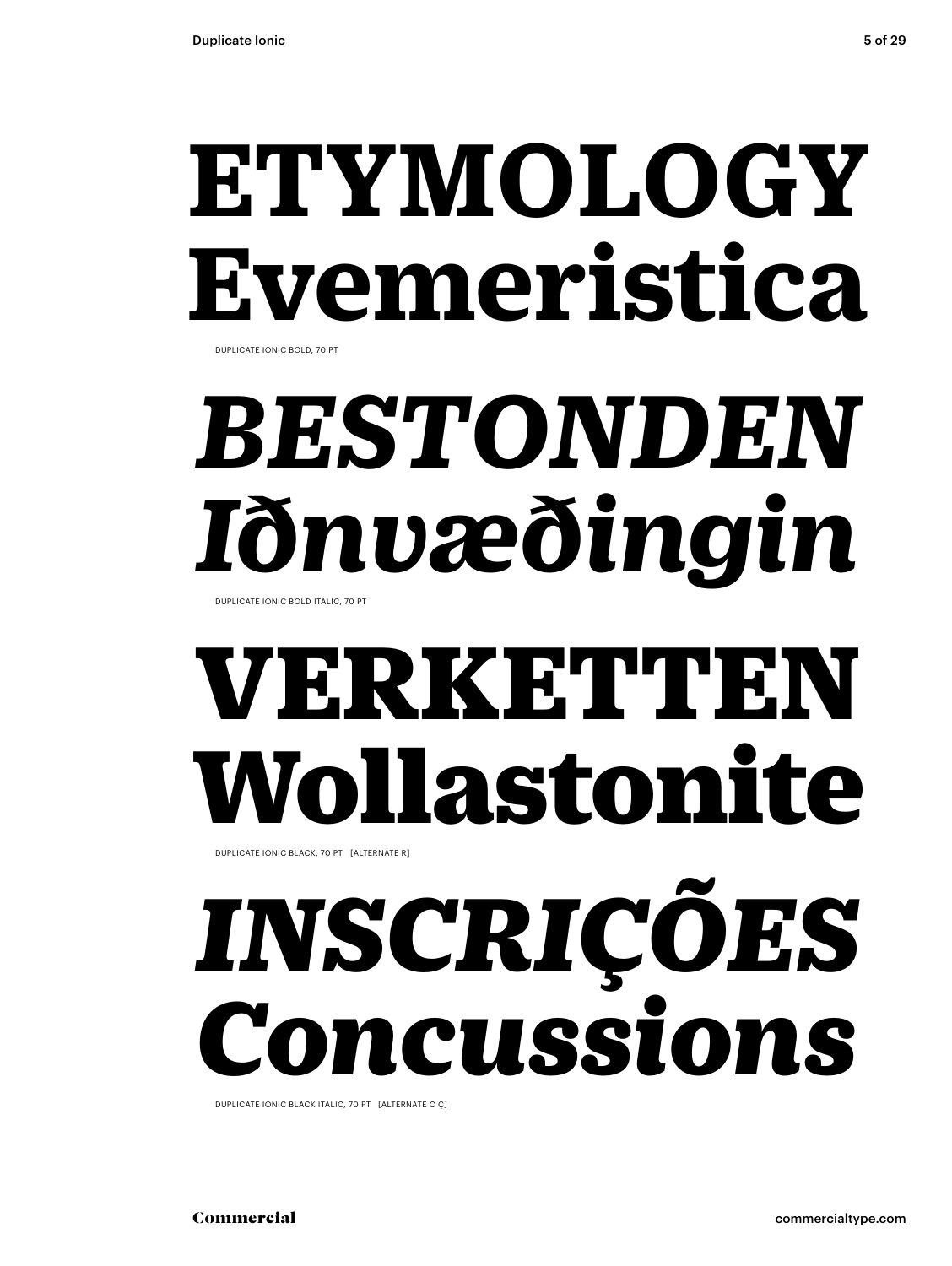# **ETYMOLOGY Evemeristica**

DUPLICATE IONIC BOLD, 70 PT

# *BESTONDEN Iðnvæðingin*

DUPLICATE IONIC BOLD ITALIC, 70 PT

## VERKETTEN Wollastonite

DUPLICATE IONIC BLACK, 70 PT [ALTERNATE R]

# *INSCRIÇÕES Concussions*

DUPLICATE IONIC BLACK ITALIC, 70 PT [ALTERNATE C Ç]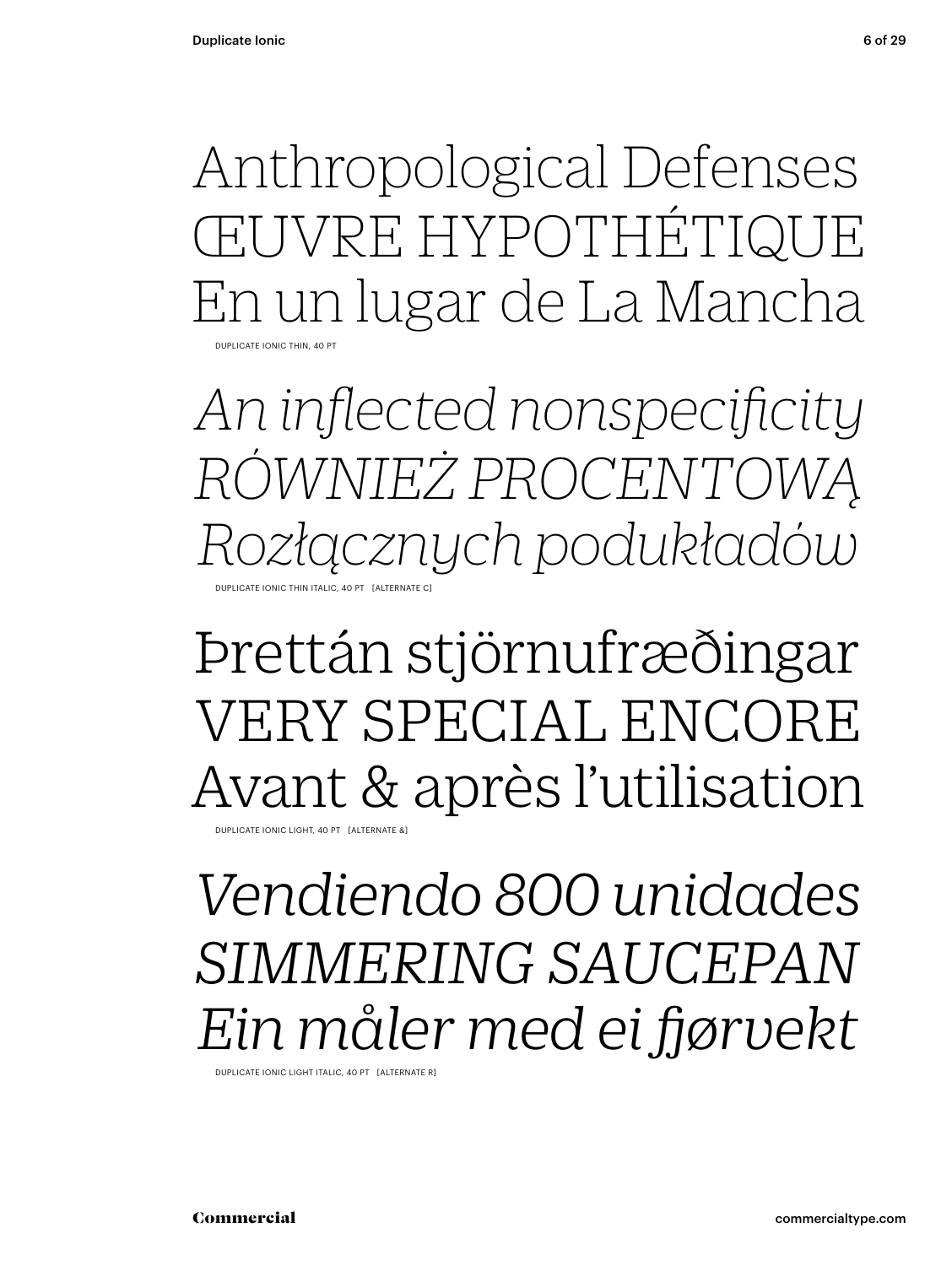Anthropological Defenses ŒUVRE HYPOTHÉTIQUE En un lugar de La Mancha DUPLICATE IONIC THIN, 40 PT

*An inflected nonspecificity RÓWNIEŻ PROCENTOWĄ Rozłącznych podukładów* DUPLICATE IONIC THIN ITALIC, 40 PT [ALTERNATE C]

### Þrettán stjörnufræðingar VERY SPECIAL ENCORE Avant & après l'utilisation

DUPLICATE IONIC LIGHT, 40 PT [ALTERNATE &

### *Vendiendo 800 unidades SIMMERING SAUCEPAN Ein måler med ei fjørvekt*

DUPLICATE IONIC LIGHT ITALIC, 40 PT [ALTERNATE R]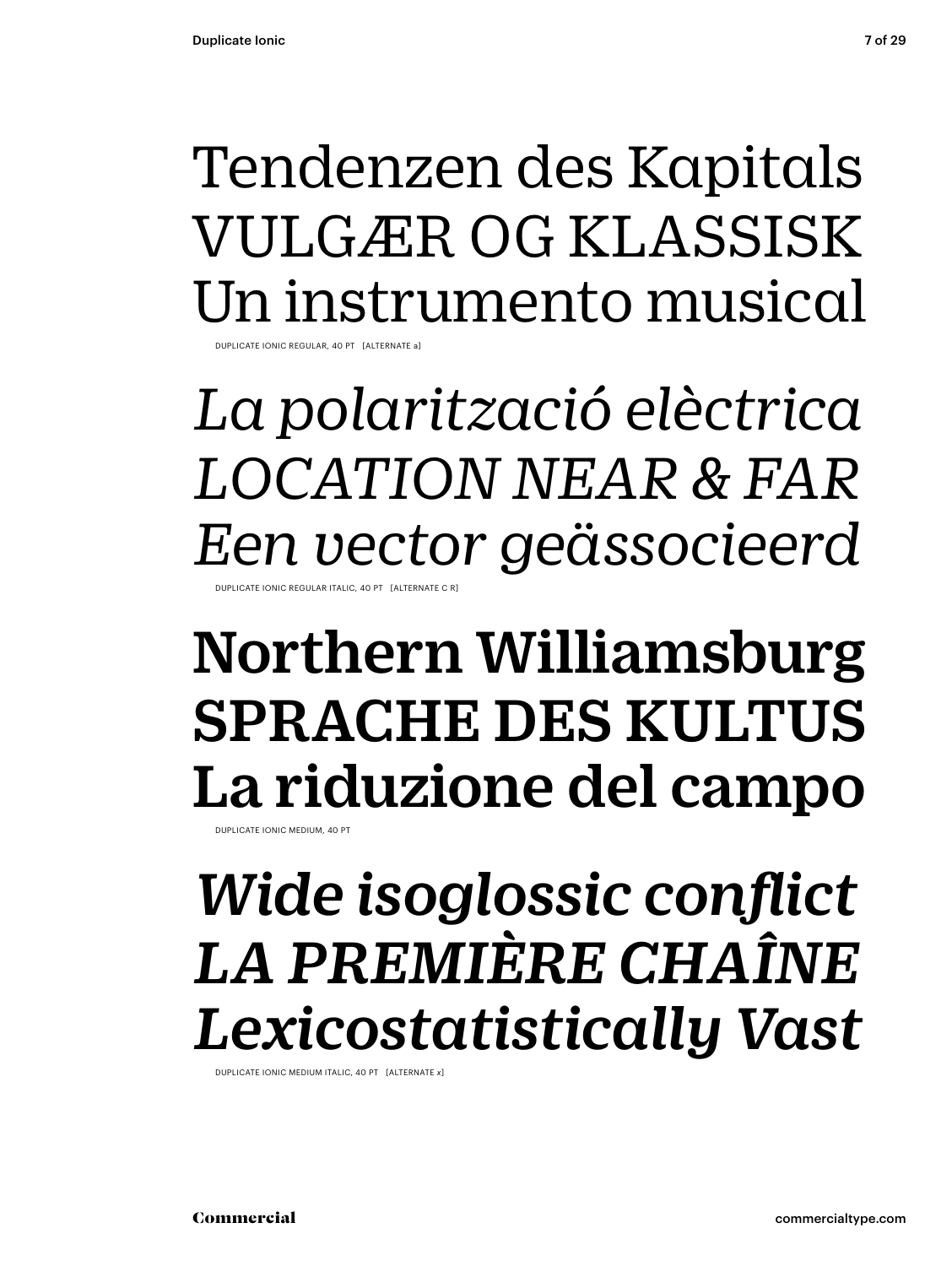## Tendenzen des Kapitals VULGÆR OG KLASSISK Un instrumento musical

DUPLICATE IONIC REGULAR, 40 PT [ALTERNATE a]

*La polarització elèctrica LOCATION NEAR & FAR Een vector geässocieerd* DUPLICATE IONIC REGULAR ITALIC, 40 PT [ALTERNATE C R]

### Northern Williamsburg SPRACHE DES KULTUS La riduzione del campo

DUPLICATE IONIC MEDIUM, 40 PT

## *Wide isoglossic conflict LA PREMIÈRE CHAÎNE Lexicostatistically Vast*

DUPLICATE IONIC MEDIUM ITALIC, 40 PT [ALTERNATE *x*]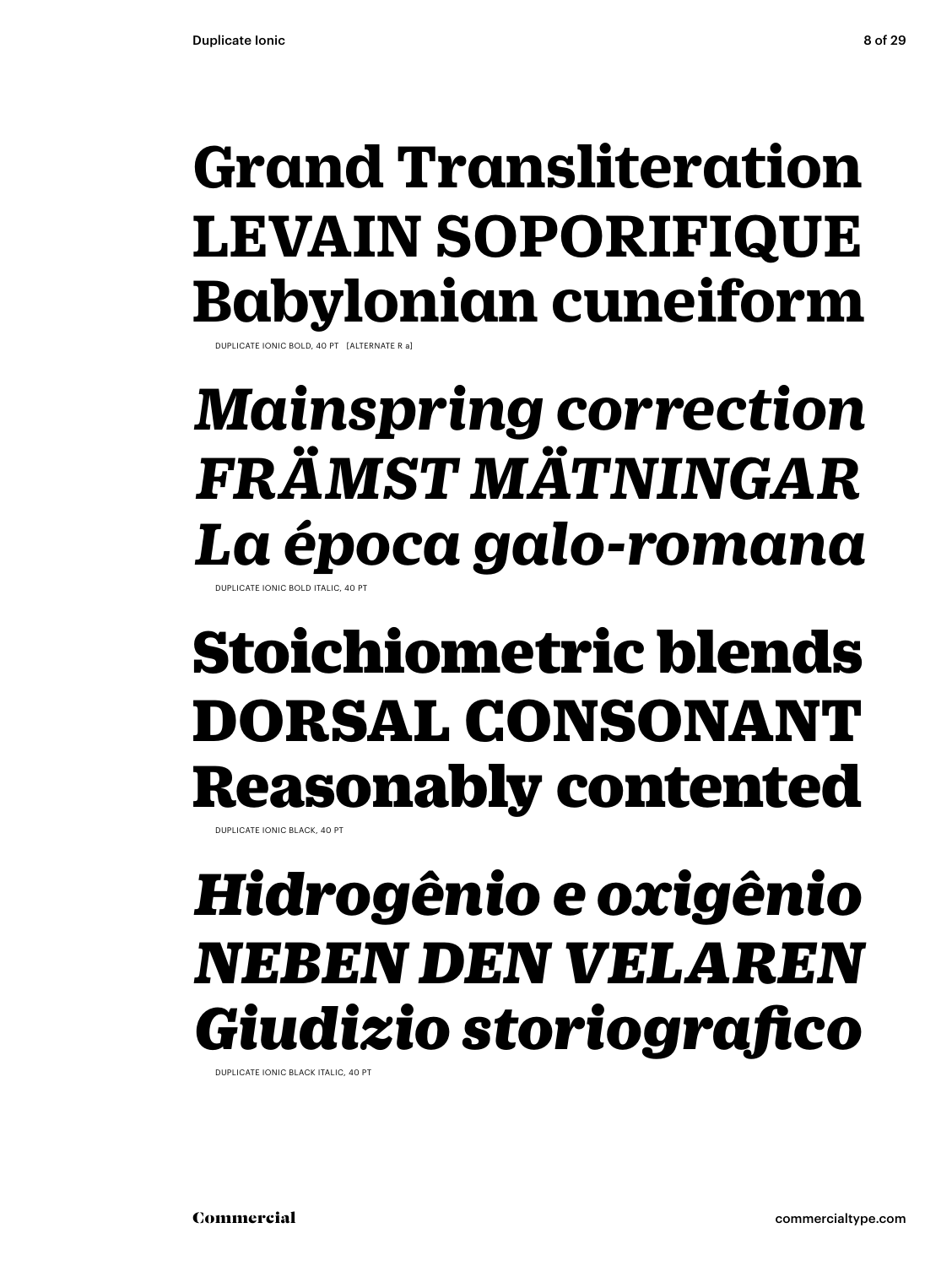## **Grand Transliteration LEVAIN SOPORIFIQUE Babylonian cuneiform**

DUPLICATE IONIC BOLD, 40 PT [ALTERNATE R a]

### *Mainspring correction FRÄMST MÄTNINGAR La época galo-romana* DUPLICATE IONIC BOLD ITALIC, 40 PT

Stoichiometric blends DORSAL CONSONANT Reasonably contented

DUPLICATE IONIC BLACK, 40 PT

## *Hidrogênio e oxigênio NEBEN DEN VELAREN Giudizio storiografico*

DUPLICATE IONIC BLACK ITALIC, 40 PT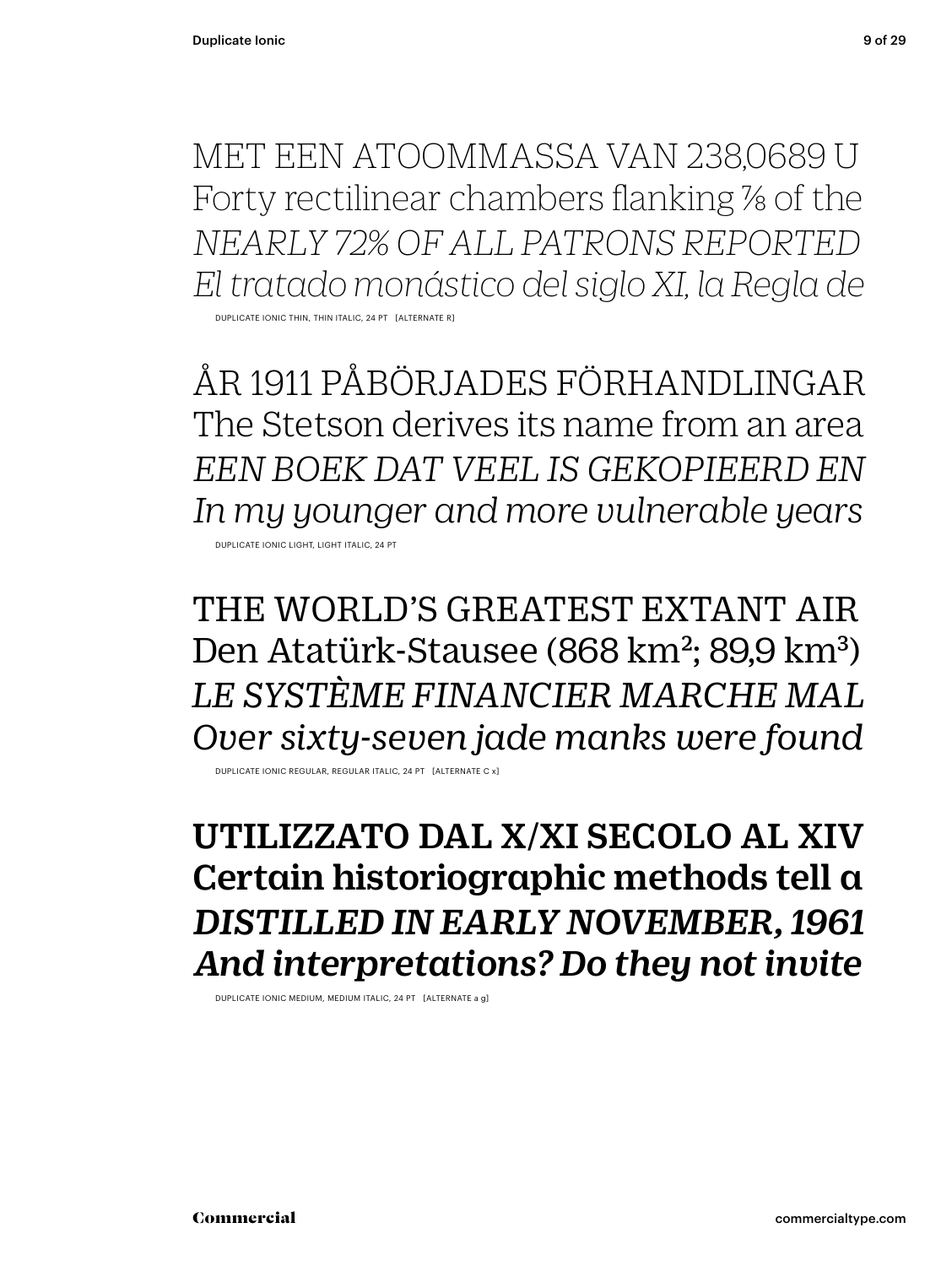MET EEN ATOOMMASSA VAN 238,0689 U Forty rectilinear chambers flanking % of the *NEARLY 72% OF ALL PATRONS REPORTED El tratado monástico del siglo XI, la Regla de*

DUPLICATE IONIC THIN, THIN ITALIC, 24 PT [ALTERNATE R]

ÅR 1911 PÅBÖRJADES FÖRHANDLINGAR The Stetson derives its name from an area *EEN BOEK DAT VEEL IS GEKOPIEERD EN In my younger and more vulnerable years* DUPLICATE IONIC LIGHT, LIGHT ITALIC, 24 PT

THE WORLD'S GREATEST EXTANT AIR Den Atatürk-Stausee (868 km<sup>2</sup>; 89,9 km<sup>3</sup>) *LE SYSTÈME FINANCIER MARCHE MAL Over sixty-seven jade manks were found*

DUPLICATE IONIC REGULAR, REGULAR ITALIC, 24 PT [ALTERNATE C x]

UTILIZZATO DAL X/XI SECOLO AL XIV Certain historiographic methods tell a *DISTILLED IN EARLY NOVEMBER, 1961 And interpretations? Do they not invite*

DUPLICATE IONIC MEDIUM, MEDIUM ITALIC, 24 PT [ALTERNATE a g]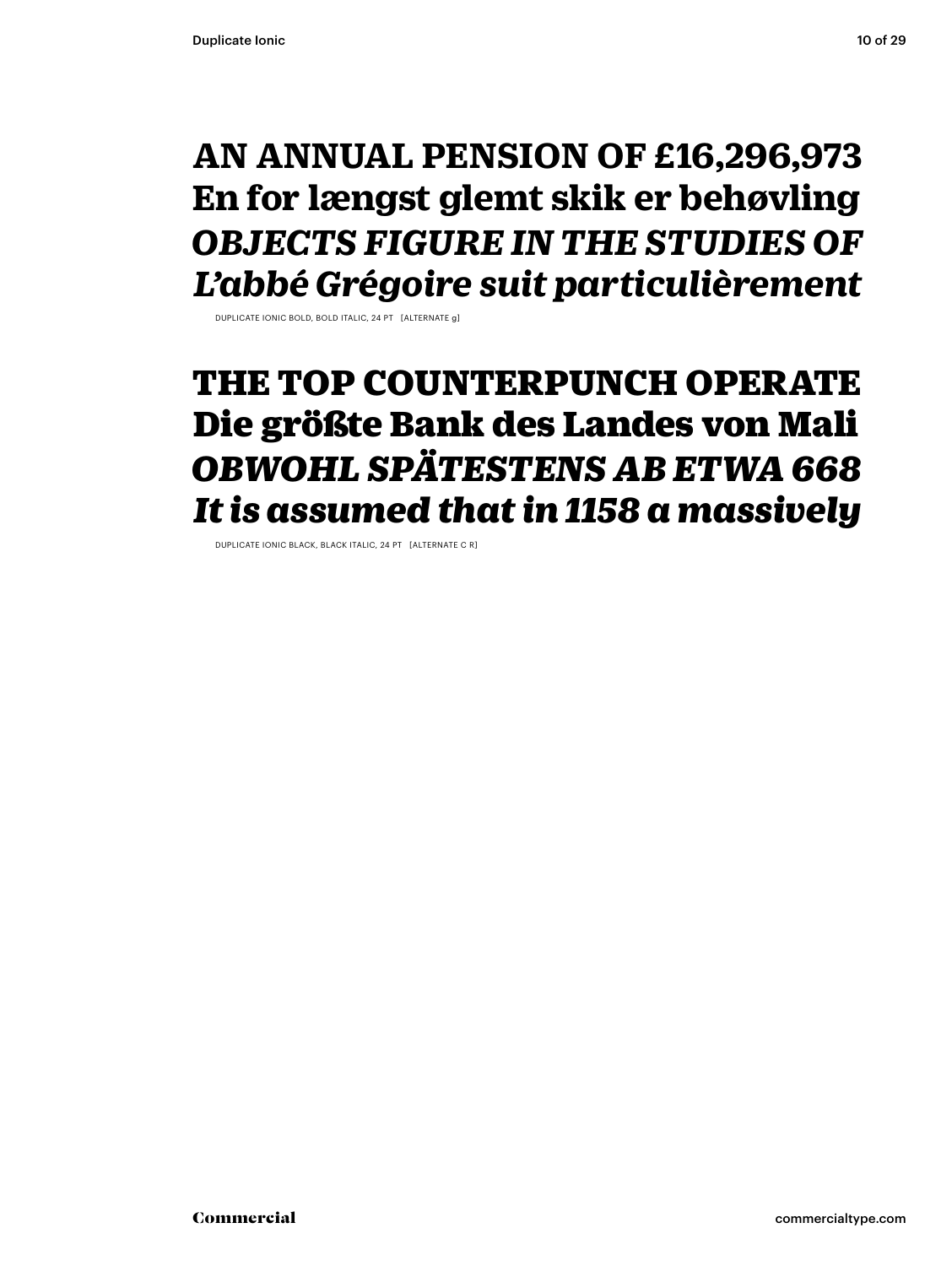### **AN ANNUAL PENSION OF £16,296,973 En for længst glemt skik er behøvling** *OBJECTS FIGURE IN THE STUDIES OF L'abbé Grégoire suit particulièrement*

DUPLICATE IONIC BOLD, BOLD ITALIC, 24 PT [ALTERNATE g]

### THE TOP COUNTERPUNCH OPERATE Die größte Bank des Landes von Mali *OBWOHL SPÄTESTENS AB ETWA 668 It is assumed that in 1158 a massively*

DUPLICATE IONIC BLACK, BLACK ITALIC, 24 PT [ALTERNATE C R]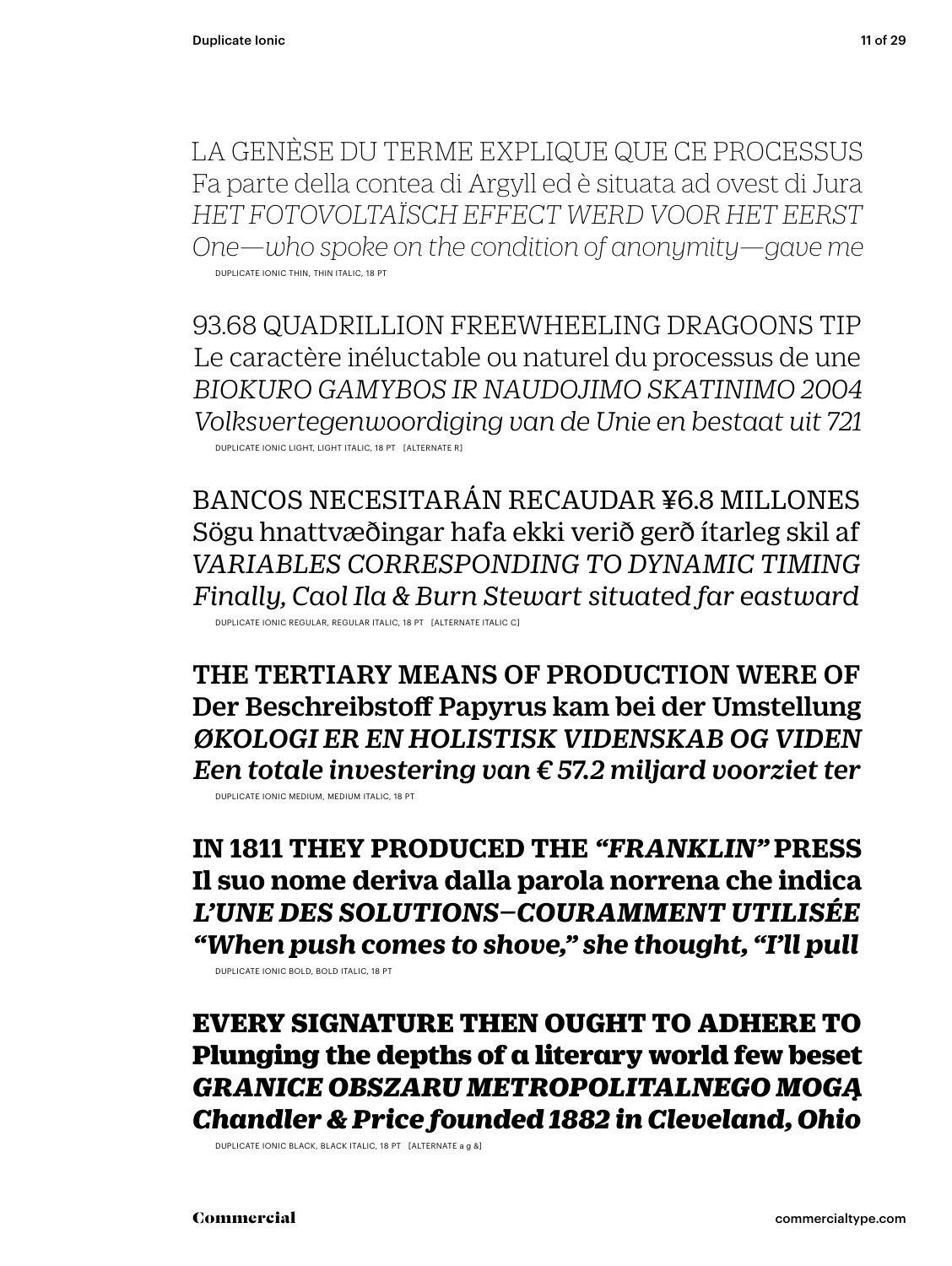LA GENÈSE DU TERME EXPLIQUE QUE CE PROCESSUS Fa parte della contea di Argyll ed è situata ad ovest di Jura *HET FOTOVOLTAÏSCH EFFECT WERD VOOR HET EERST One—who spoke on the condition of anonymity—gave me* DUPLICATE IONIC THIN, THIN ITALIC, 18 PT

93.68 QUADRILLION FREEWHEELING DRAGOONS TIP Le caractère inéluctable ou naturel du processus de une *BIOKURO GAMYBOS IR NAUDOJIMO SKATINIMO 2004 Volksvertegenwoordiging van de Unie en bestaat uit 721* DUPLICATE IONIC LIGHT, LIGHT ITALIC, 18 PT [ALTERNATE R]

BANCOS NECESITARÁN RECAUDAR ¥6.8 MILLONES Sögu hnattvæðingar hafa ekki verið gerð ítarleg skil af *VARIABLES CORRESPONDING TO DYNAMIC TIMING Finally, Caol Ila & Burn Stewart situated far eastward* DUPLICATE IONIC REGULAR, REGULAR ITALIC, 18 PT [ALTERNATE ITALIC C]

THE TERTIARY MEANS OF PRODUCTION WERE OF Der Beschreibstoff Papyrus kam bei der Umstellung *ØKOLOGI ER EN HOLISTISK VIDENSKAB OG VIDEN Een totale investering van € 57.2 miljard voorziet ter*

DUPLICATE IONIC MEDIUM, MEDIUM ITALIC, 18 PT

**IN 1811 THEY PRODUCED THE** *"FRANKLIN"* **PRESS Il suo nome deriva dalla parola norrena che indica** *L'UNE DES SOLUTIONS–COURAMMENT UTILISÉE "When push comes to shove," she thought, "I'll pull*

DUPLICATE IONIC BOLD, BOLD ITALIC, 18 PT

EVERY SIGNATURE THEN OUGHT TO ADHERE TO Plunging the depths of a literary world few beset *GRANICE OBSZARU METROPOLITALNEGO MOGĄ Chandler & Price founded 1882 in Cleveland, Ohio*

DUPLICATE IONIC BLACK, BLACK ITALIC, 18 PT [ALTERNATE a g &]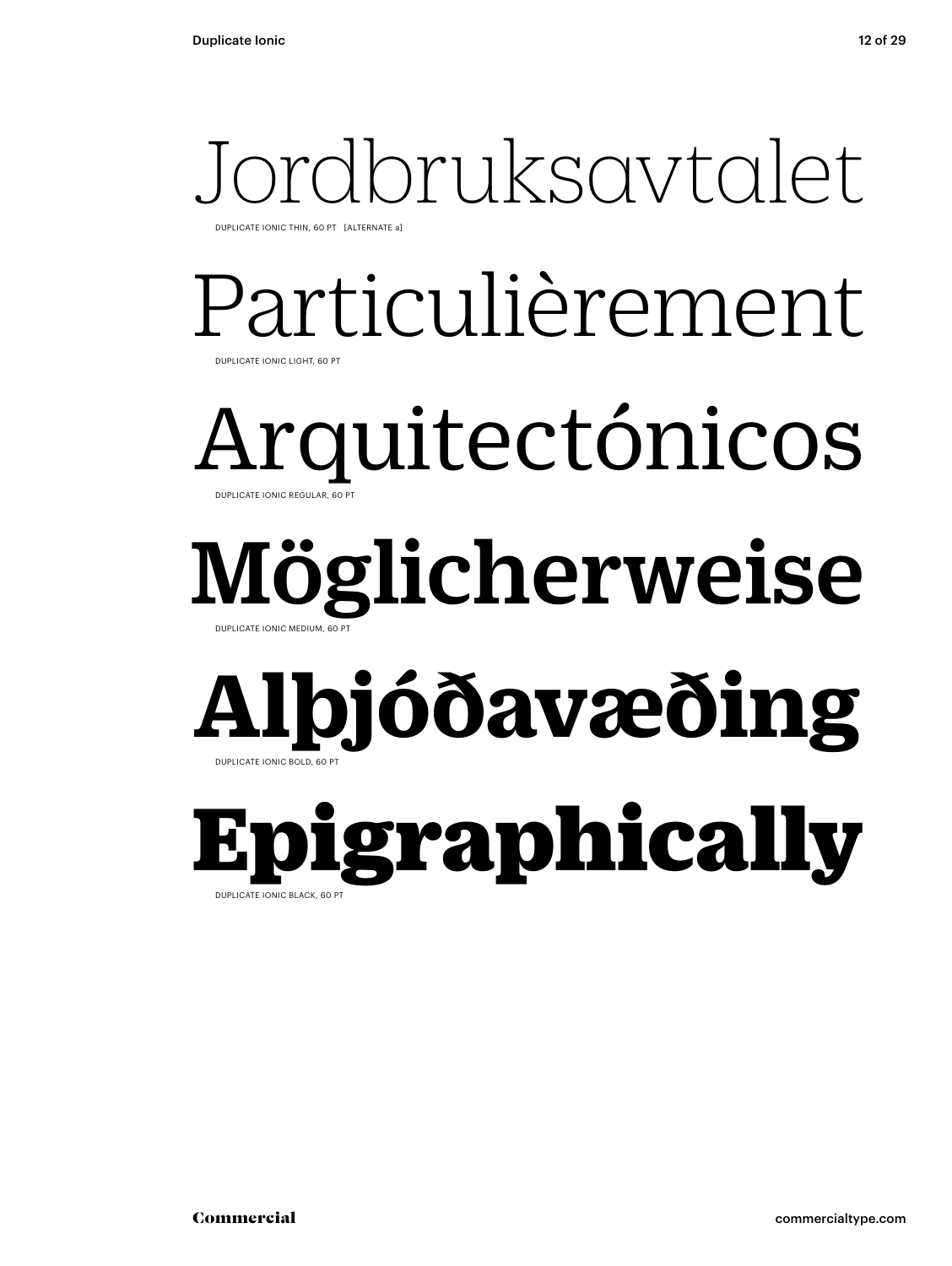## Jordbruksavtalet

DUPLICATE IONIC THIN, 60 PT [ALTERNATE a]

### Particulièrement DUPLICATE IONIC LIGHT, 60 PT

Arquitectónicos DUPLICATE IONIC REGULAR, 60 PT

### Möglicherweise DUPLICATE IONIC MEDIUM, 60 PT

# **Alþjóðavæðing**

Epigraphically DUPLICATE IONIC BLACK, 60

DUPLICATE IONIC BOLD, 60 PT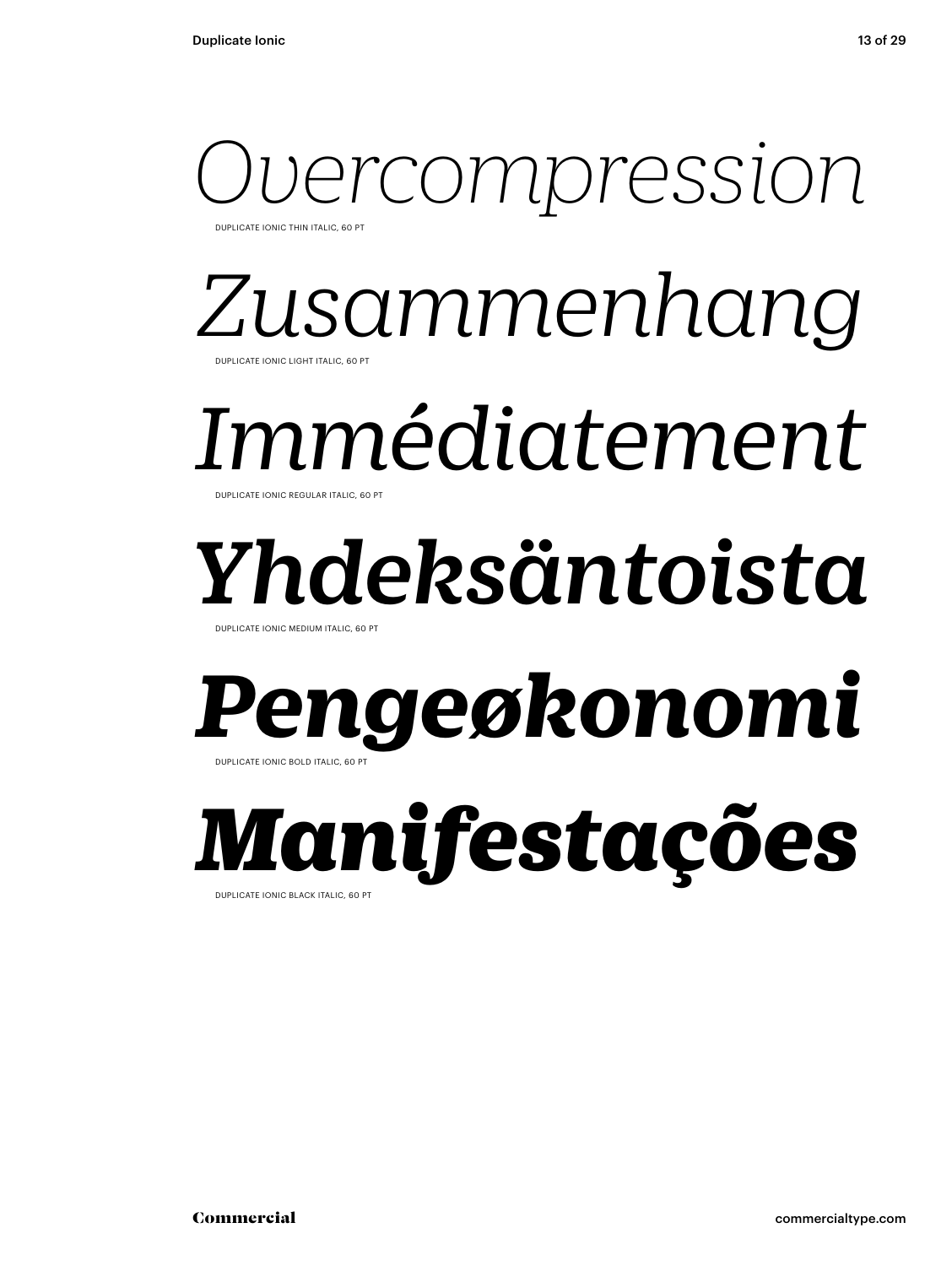### ercompression DUPLICATE IONIC THIN ITALIC, 60 PT

### *Zusammenhang* DUPLICATE IONIC LIGHT ITALIC, 60 PT

## *Immédiatement*

DUPLICATE IONIC REGULAR ITALIC, 60 PT

# *Yhdeksäntoista*

DUPLICATE IONIC MEDIUM ITALIC, 60 P

### *Pengeøkonomi* DUPLICATE IONIC BOLD ITALIC, 60 PT

*Manifestações*  DUPLICATE IONIC BLACK ITALIC, 60 PT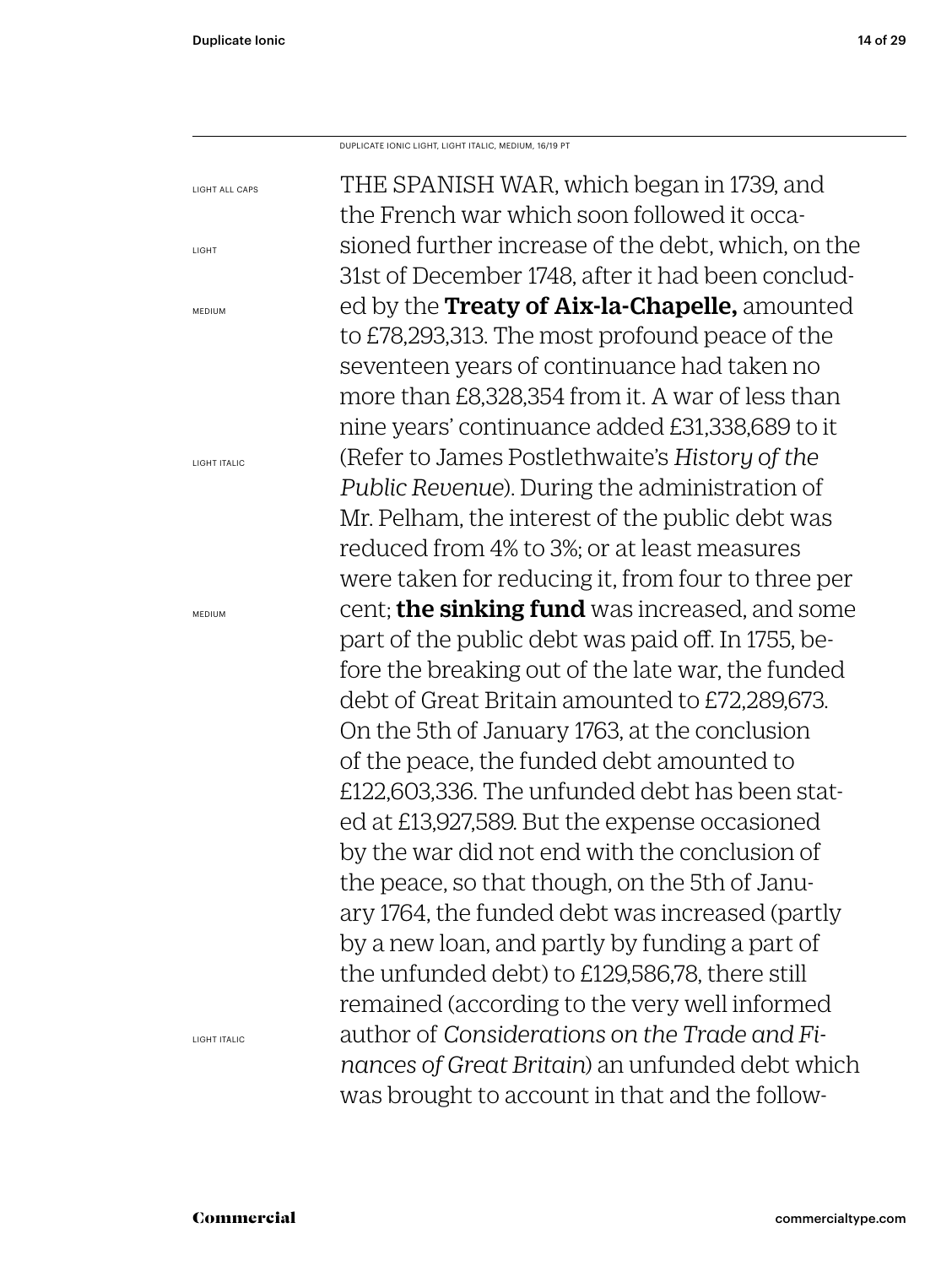LIGHT

MEDIUM

MEDIUM

THE SPANISH WAR, which began in 1739, and the French war which soon followed it occasioned further increase of the debt, which, on the 31st of December 1748, after it had been concluded by the Treaty of Aix-la-Chapelle, amounted to £78,293,313. The most profound peace of the seventeen years of continuance had taken no more than £8,328,354 from it. A war of less than nine years' continuance added £31,338,689 to it (Refer to James Postlethwaite's *History of the Public Revenue*). During the administration of Mr. Pelham, the interest of the public debt was reduced from 4% to 3%; or at least measures were taken for reducing it, from four to three per cent; the sinking fund was increased, and some part of the public debt was paid off. In 1755, before the breaking out of the late war, the funded debt of Great Britain amounted to £72,289,673. On the 5th of January 1763, at the conclusion of the peace, the funded debt amounted to £122,603,336. The unfunded debt has been stated at £13,927,589. But the expense occasioned by the war did not end with the conclusion of the peace, so that though, on the 5th of January 1764, the funded debt was increased (partly by a new loan, and partly by funding a part of the unfunded debt) to £129,586,78, there still remained (according to the very well informed author of *Considerations on the Trade and Finances of Great Britain*) an unfunded debt which was brought to account in that and the follow-LIGHT ALL CAPS LIGHT ITALIC LIGHT ITALIC DUPLICATE IONIC LIGHT, LIGHT ITALIC, MEDIUM, 16/19 PT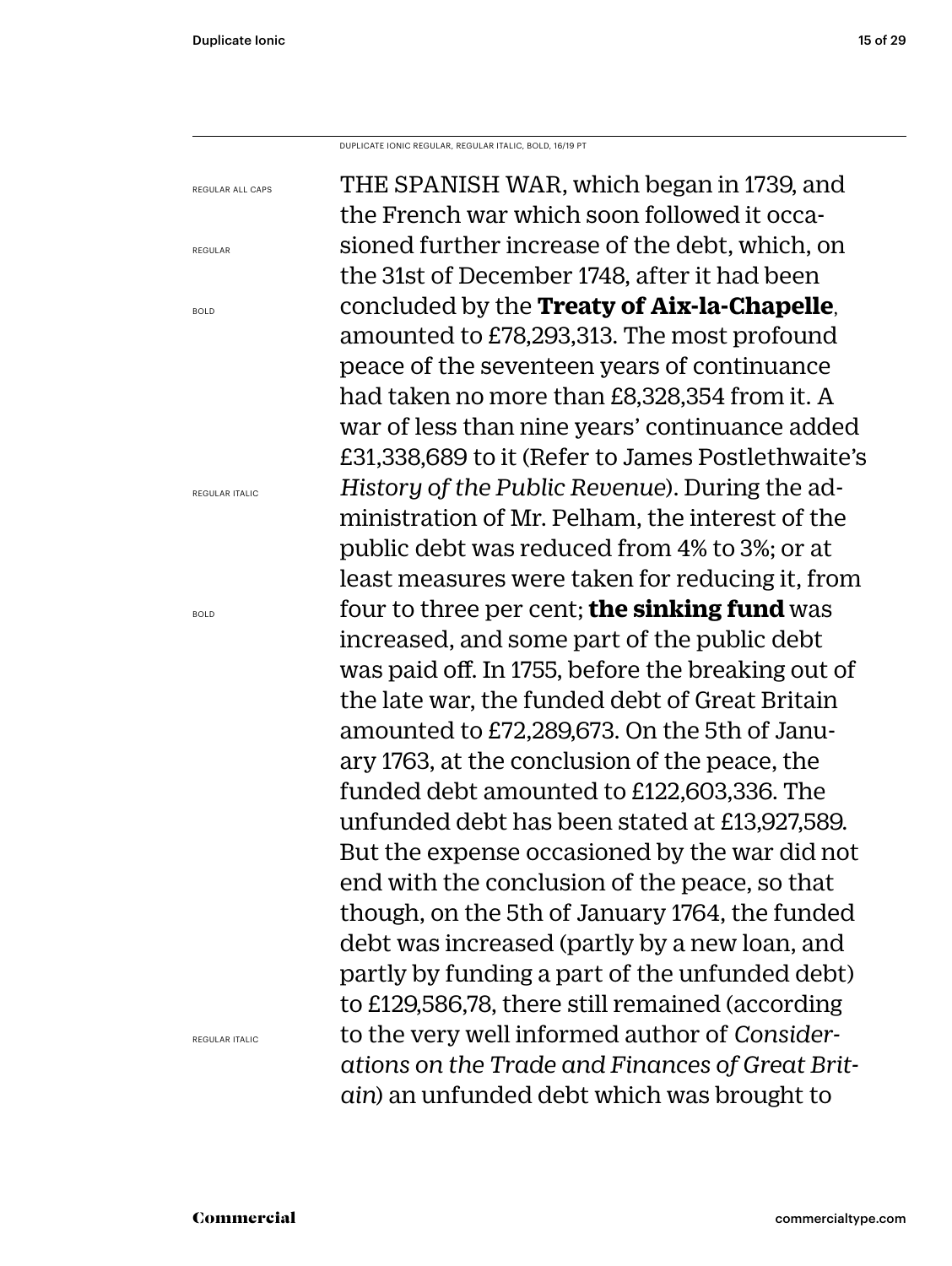DUPLICATE IONIC REGULAR, REGULAR ITALIC, BOLD, 16/19 PT

REGULAR ALL CAPS

REGULAR

BOLD

REGULAR ITALIC

BOLD

THE SPANISH WAR, which began in 1739, and the French war which soon followed it occasioned further increase of the debt, which, on the 31st of December 1748, after it had been concluded by the **Treaty of Aix-la-Chapelle**, amounted to £78,293,313. The most profound peace of the seventeen years of continuance had taken no more than £8,328,354 from it. A war of less than nine years' continuance added £31,338,689 to it (Refer to James Postlethwaite's *History of the Public Revenue*). During the administration of Mr. Pelham, the interest of the public debt was reduced from 4% to 3%; or at least measures were taken for reducing it, from four to three per cent; **the sinking fund** was increased, and some part of the public debt was paid off. In 1755, before the breaking out of the late war, the funded debt of Great Britain amounted to £72,289,673. On the 5th of January 1763, at the conclusion of the peace, the funded debt amounted to £122,603,336. The unfunded debt has been stated at £13,927,589. But the expense occasioned by the war did not end with the conclusion of the peace, so that though, on the 5th of January 1764, the funded debt was increased (partly by a new loan, and partly by funding a part of the unfunded debt) to £129,586,78, there still remained (according to the very well informed author of *Considerations on the Trade and Finances of Great Britain*) an unfunded debt which was brought to

REGULAR ITALIC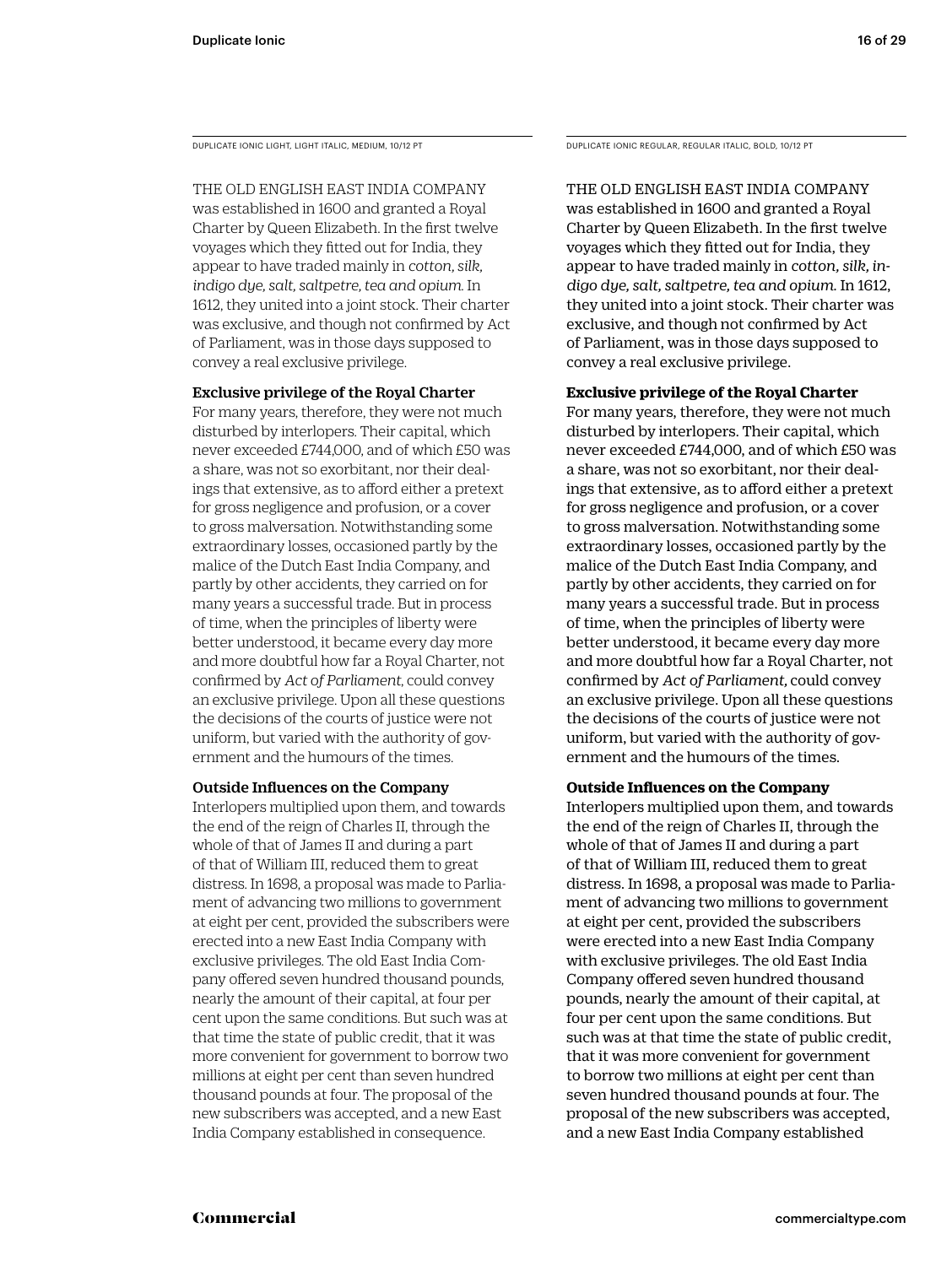DUPLICATE IONIC LIGHT, LIGHT ITALIC, MEDIUM, 10/12 PT

#### THE OLD ENGLISH EAST INDIA COMPANY

was established in 1600 and granted a Royal Charter by Queen Elizabeth. In the first twelve voyages which they fitted out for India, they appear to have traded mainly in *cotton, silk, indigo dye, salt, saltpetre, tea and opium*. In 1612, they united into a joint stock. Their charter was exclusive, and though not confirmed by Act of Parliament, was in those days supposed to convey a real exclusive privilege.

#### Exclusive privilege of the Royal Charter

For many years, therefore, they were not much disturbed by interlopers. Their capital, which never exceeded £744,000, and of which £50 was a share, was not so exorbitant, nor their dealings that extensive, as to afford either a pretext for gross negligence and profusion, or a cover to gross malversation. Notwithstanding some extraordinary losses, occasioned partly by the malice of the Dutch East India Company, and partly by other accidents, they carried on for many years a successful trade. But in process of time, when the principles of liberty were better understood, it became every day more and more doubtful how far a Royal Charter, not confirmed by *Act of Parliament*, could convey an exclusive privilege. Upon all these questions the decisions of the courts of justice were not uniform, but varied with the authority of government and the humours of the times.

#### Outside Influences on the Company

Interlopers multiplied upon them, and towards the end of the reign of Charles II, through the whole of that of James II and during a part of that of William III, reduced them to great distress. In 1698, a proposal was made to Parliament of advancing two millions to government at eight per cent, provided the subscribers were erected into a new East India Company with exclusive privileges. The old East India Company offered seven hundred thousand pounds, nearly the amount of their capital, at four per cent upon the same conditions. But such was at that time the state of public credit, that it was more convenient for government to borrow two millions at eight per cent than seven hundred thousand pounds at four. The proposal of the new subscribers was accepted, and a new East India Company established in consequence.

DUPLICATE IONIC REGULAR, REGULAR ITALIC, BOLD, 10/12 PT

#### THE OLD ENGLISH EAST INDIA COMPANY was established in 1600 and granted a Royal Charter by Queen Elizabeth. In the first twelve voyages which they fitted out for India, they appear to have traded mainly in *cotton, silk, indigo dye, salt, saltpetre, tea and opium*. In 1612, they united into a joint stock. Their charter was exclusive, and though not confirmed by Act of Parliament, was in those days supposed to convey a real exclusive privilege.

#### **Exclusive privilege of the Royal Charter**

For many years, therefore, they were not much disturbed by interlopers. Their capital, which never exceeded £744,000, and of which £50 was a share, was not so exorbitant, nor their dealings that extensive, as to afford either a pretext for gross negligence and profusion, or a cover to gross malversation. Notwithstanding some extraordinary losses, occasioned partly by the malice of the Dutch East India Company, and partly by other accidents, they carried on for many years a successful trade. But in process of time, when the principles of liberty were better understood, it became every day more and more doubtful how far a Royal Charter, not confirmed by *Act of Parliament,* could convey an exclusive privilege. Upon all these questions the decisions of the courts of justice were not uniform, but varied with the authority of government and the humours of the times.

#### **Outside Influences on the Company**

Interlopers multiplied upon them, and towards the end of the reign of Charles II, through the whole of that of James II and during a part of that of William III, reduced them to great distress. In 1698, a proposal was made to Parliament of advancing two millions to government at eight per cent, provided the subscribers were erected into a new East India Company with exclusive privileges. The old East India Company offered seven hundred thousand pounds, nearly the amount of their capital, at four per cent upon the same conditions. But such was at that time the state of public credit, that it was more convenient for government to borrow two millions at eight per cent than seven hundred thousand pounds at four. The proposal of the new subscribers was accepted, and a new East India Company established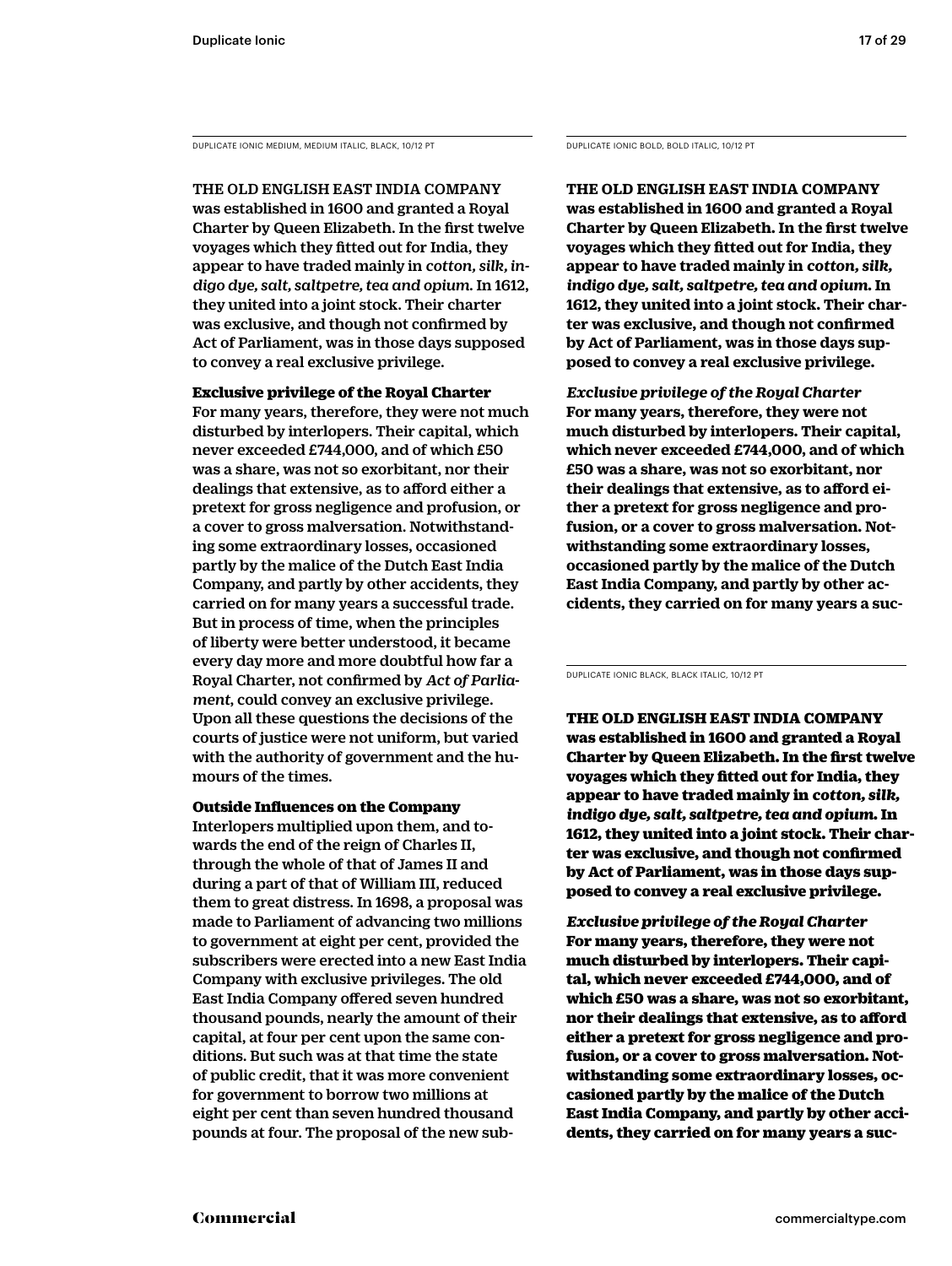DUPLICATE IONIC MEDIUM, MEDIUM ITALIC, BLACK, 10/12 PT DUPLICATE IONIC BOLD, BOLD ITALIC, 10/12 PT

THE OLD ENGLISH EAST INDIA COMPANY

was established in 1600 and granted a Royal Charter by Queen Elizabeth. In the first twelve voyages which they fitted out for India, they appear to have traded mainly in *cotton, silk, indigo dye, salt, saltpetre, tea and opium*. In 1612, they united into a joint stock. Their charter was exclusive, and though not confirmed by Act of Parliament, was in those days supposed to convey a real exclusive privilege.

Exclusive privilege of the Royal Charter For many years, therefore, they were not much disturbed by interlopers. Their capital, which never exceeded £744,000, and of which £50 was a share, was not so exorbitant, nor their dealings that extensive, as to afford either a pretext for gross negligence and profusion, or a cover to gross malversation. Notwithstanding some extraordinary losses, occasioned partly by the malice of the Dutch East India Company, and partly by other accidents, they carried on for many years a successful trade. But in process of time, when the principles of liberty were better understood, it became every day more and more doubtful how far a Royal Charter, not confirmed by *Act of Parliament*, could convey an exclusive privilege. Upon all these questions the decisions of the courts of justice were not uniform, but varied with the authority of government and the humours of the times.

Outside Influences on the Company Interlopers multiplied upon them, and towards the end of the reign of Charles II, through the whole of that of James II and during a part of that of William III, reduced them to great distress. In 1698, a proposal was made to Parliament of advancing two millions to government at eight per cent, provided the subscribers were erected into a new East India Company with exclusive privileges. The old East India Company offered seven hundred thousand pounds, nearly the amount of their capital, at four per cent upon the same conditions. But such was at that time the state of public credit, that it was more convenient for government to borrow two millions at eight per cent than seven hundred thousand pounds at four. The proposal of the new sub-

**THE OLD ENGLISH EAST INDIA COMPANY was established in 1600 and granted a Royal Charter by Queen Elizabeth. In the first twelve voyages which they fitted out for India, they appear to have traded mainly in** *cotton, silk, indigo dye, salt, saltpetre, tea and opium***. In 1612, they united into a joint stock. Their charter was exclusive, and though not confirmed by Act of Parliament, was in those days supposed to convey a real exclusive privilege.** 

*Exclusive privilege of the Royal Charter* **For many years, therefore, they were not much disturbed by interlopers. Their capital, which never exceeded £744,000, and of which £50 was a share, was not so exorbitant, nor their dealings that extensive, as to afford either a pretext for gross negligence and profusion, or a cover to gross malversation. Notwithstanding some extraordinary losses, occasioned partly by the malice of the Dutch East India Company, and partly by other accidents, they carried on for many years a suc-**

DUPLICATE IONIC BLACK, BLACK ITALIC, 10/12 PT

THE OLD ENGLISH EAST INDIA COMPANY was established in 1600 and granted a Royal Charter by Queen Elizabeth. In the first twelve voyages which they fitted out for India, they appear to have traded mainly in *cotton, silk, indigo dye, salt, saltpetre, tea and opium*. In 1612, they united into a joint stock. Their charter was exclusive, and though not confirmed by Act of Parliament, was in those days supposed to convey a real exclusive privilege.

*Exclusive privilege of the Royal Charter* For many years, therefore, they were not much disturbed by interlopers. Their capital, which never exceeded £744,000, and of which £50 was a share, was not so exorbitant, nor their dealings that extensive, as to afford either a pretext for gross negligence and profusion, or a cover to gross malversation. Notwithstanding some extraordinary losses, occasioned partly by the malice of the Dutch East India Company, and partly by other accidents, they carried on for many years a suc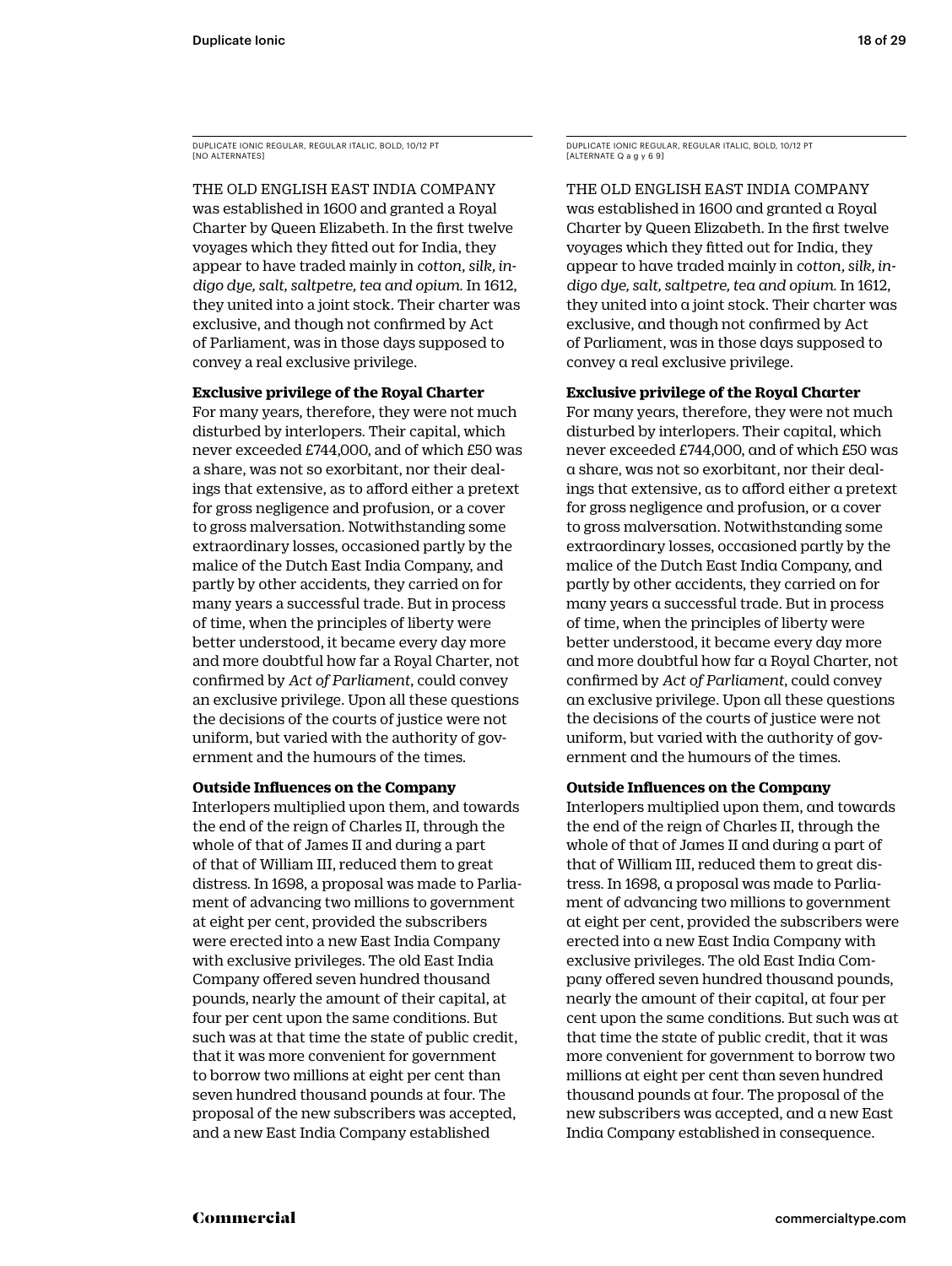DUPLICATE IONIC REGULAR, REGULAR ITALIC, BOLD, 10/12 PT [NO ALTERNATES]

THE OLD ENGLISH EAST INDIA COMPANY was established in 1600 and granted a Royal Charter by Queen Elizabeth. In the first twelve voyages which they fitted out for India, they appear to have traded mainly in *cotton, silk, indigo dye, salt, saltpetre, tea and opium*. In 1612, they united into a joint stock. Their charter was exclusive, and though not confirmed by Act of Parliament, was in those days supposed to convey a real exclusive privilege.

#### **Exclusive privilege of the Royal Charter**

For many years, therefore, they were not much disturbed by interlopers. Their capital, which never exceeded £744,000, and of which £50 was a share, was not so exorbitant, nor their dealings that extensive, as to afford either a pretext for gross negligence and profusion, or a cover to gross malversation. Notwithstanding some extraordinary losses, occasioned partly by the malice of the Dutch East India Company, and partly by other accidents, they carried on for many years a successful trade. But in process of time, when the principles of liberty were better understood, it became every day more and more doubtful how far a Royal Charter, not confirmed by *Act of Parliament*, could convey an exclusive privilege. Upon all these questions the decisions of the courts of justice were not uniform, but varied with the authority of government and the humours of the times.

#### **Outside Influences on the Company**

Interlopers multiplied upon them, and towards the end of the reign of Charles II, through the whole of that of James II and during a part of that of William III, reduced them to great distress. In 1698, a proposal was made to Parliament of advancing two millions to government at eight per cent, provided the subscribers were erected into a new East India Company with exclusive privileges. The old East India Company offered seven hundred thousand pounds, nearly the amount of their capital, at four per cent upon the same conditions. But such was at that time the state of public credit, that it was more convenient for government to borrow two millions at eight per cent than seven hundred thousand pounds at four. The proposal of the new subscribers was accepted, and a new East India Company established

DUPLICATE IONIC REGULAR, REGULAR ITALIC, BOLD, 10/12 PT [ALTERNATE Q a g y 6 9]

THE OLD ENGLISH EAST INDIA COMPANY was established in 1600 and granted a Royal Charter by Queen Elizabeth. In the first twelve voyages which they fitted out for India, they appear to have traded mainly in *cotton, silk, indigo dye, salt, saltpetre, tea and opium*. In 1612, they united into a joint stock. Their charter was exclusive, and though not confirmed by Act of Parliament, was in those days supposed to convey a real exclusive privilege.

#### **Exclusive privilege of the Royal Charter**

For many years, therefore, they were not much disturbed by interlopers. Their capital, which never exceeded £744,000, and of which £50 was a share, was not so exorbitant, nor their dealings that extensive, as to afford either a pretext for gross negligence and profusion, or a cover to gross malversation. Notwithstanding some extraordinary losses, occasioned partly by the malice of the Dutch East India Company, and partly by other accidents, they carried on for many years a successful trade. But in process of time, when the principles of liberty were better understood, it became every day more and more doubtful how far a Royal Charter, not confirmed by *Act of Parliament*, could convey an exclusive privilege. Upon all these questions the decisions of the courts of justice were not uniform, but varied with the authority of government and the humours of the times.

#### **Outside Influences on the Company**

Interlopers multiplied upon them, and towards the end of the reign of Charles II, through the whole of that of James II and during a part of that of William III, reduced them to great distress. In 1698, a proposal was made to Parliament of advancing two millions to government at eight per cent, provided the subscribers were erected into a new East India Company with exclusive privileges. The old East India Company offered seven hundred thousand pounds, nearly the amount of their capital, at four per cent upon the same conditions. But such was at that time the state of public credit, that it was more convenient for government to borrow two millions at eight per cent than seven hundred thousand pounds at four. The proposal of the new subscribers was accepted, and a new East India Company established in consequence.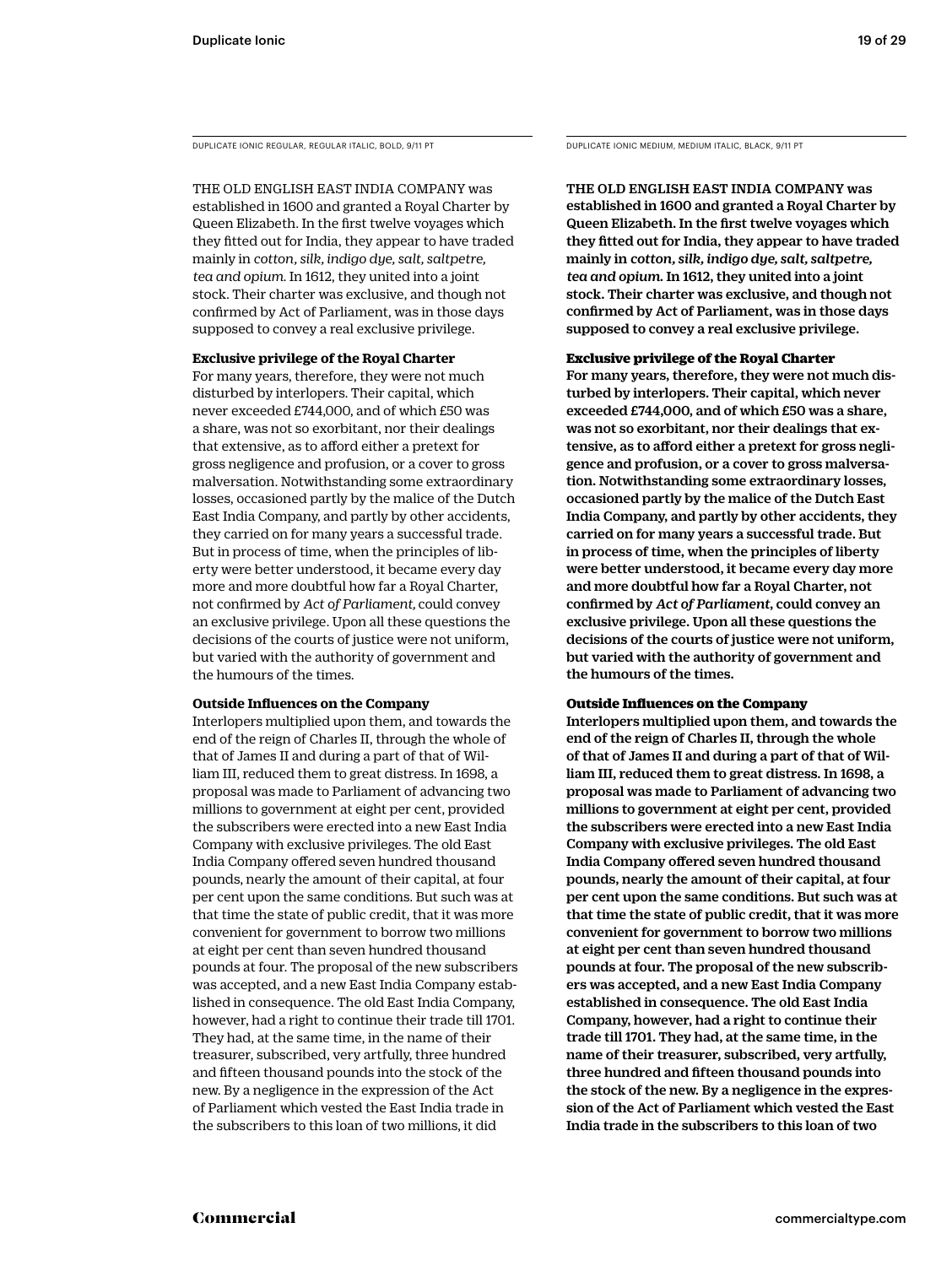DUPLICATE IONIC REGULAR, REGULAR ITALIC, BOLD, 9/11 PT DUPLICATE IONIC MEDIUM, MEDIUM ITALIC, BLACK, 9/11 PT

THE OLD ENGLISH EAST INDIA COMPANY was established in 1600 and granted a Royal Charter by Queen Elizabeth. In the first twelve voyages which they fitted out for India, they appear to have traded mainly in *cotton, silk, indigo dye, salt, saltpetre, tea and opium*. In 1612, they united into a joint stock. Their charter was exclusive, and though not confirmed by Act of Parliament, was in those days supposed to convey a real exclusive privilege.

#### **Exclusive privilege of the Royal Charter**

For many years, therefore, they were not much disturbed by interlopers. Their capital, which never exceeded £744,000, and of which £50 was a share, was not so exorbitant, nor their dealings that extensive, as to afford either a pretext for gross negligence and profusion, or a cover to gross malversation. Notwithstanding some extraordinary losses, occasioned partly by the malice of the Dutch East India Company, and partly by other accidents, they carried on for many years a successful trade. But in process of time, when the principles of liberty were better understood, it became every day more and more doubtful how far a Royal Charter, not confirmed by *Act of Parliament,* could convey an exclusive privilege. Upon all these questions the decisions of the courts of justice were not uniform, but varied with the authority of government and the humours of the times.

#### **Outside Influences on the Company**

Interlopers multiplied upon them, and towards the end of the reign of Charles II, through the whole of that of James II and during a part of that of William III, reduced them to great distress. In 1698, a proposal was made to Parliament of advancing two millions to government at eight per cent, provided the subscribers were erected into a new East India Company with exclusive privileges. The old East India Company offered seven hundred thousand pounds, nearly the amount of their capital, at four per cent upon the same conditions. But such was at that time the state of public credit, that it was more convenient for government to borrow two millions at eight per cent than seven hundred thousand pounds at four. The proposal of the new subscribers was accepted, and a new East India Company established in consequence. The old East India Company, however, had a right to continue their trade till 1701. They had, at the same time, in the name of their treasurer, subscribed, very artfully, three hundred and fifteen thousand pounds into the stock of the new. By a negligence in the expression of the Act of Parliament which vested the East India trade in the subscribers to this loan of two millions, it did

THE OLD ENGLISH EAST INDIA COMPANY was established in 1600 and granted a Royal Charter by Queen Elizabeth. In the first twelve voyages which they fitted out for India, they appear to have traded mainly in *cotton, silk, indigo dye, salt, saltpetre, tea and opium*. In 1612, they united into a joint stock. Their charter was exclusive, and though not confirmed by Act of Parliament, was in those days supposed to convey a real exclusive privilege.

#### Exclusive privilege of the Royal Charter

For many years, therefore, they were not much disturbed by interlopers. Their capital, which never exceeded £744,000, and of which £50 was a share, was not so exorbitant, nor their dealings that extensive, as to afford either a pretext for gross negligence and profusion, or a cover to gross malversation. Notwithstanding some extraordinary losses, occasioned partly by the malice of the Dutch East India Company, and partly by other accidents, they carried on for many years a successful trade. But in process of time, when the principles of liberty were better understood, it became every day more and more doubtful how far a Royal Charter, not confirmed by *Act of Parliament*, could convey an exclusive privilege. Upon all these questions the decisions of the courts of justice were not uniform, but varied with the authority of government and the humours of the times.

#### Outside Influences on the Company

Interlopers multiplied upon them, and towards the end of the reign of Charles II, through the whole of that of James II and during a part of that of William III, reduced them to great distress. In 1698, a proposal was made to Parliament of advancing two millions to government at eight per cent, provided the subscribers were erected into a new East India Company with exclusive privileges. The old East India Company offered seven hundred thousand pounds, nearly the amount of their capital, at four per cent upon the same conditions. But such was at that time the state of public credit, that it was more convenient for government to borrow two millions at eight per cent than seven hundred thousand pounds at four. The proposal of the new subscribers was accepted, and a new East India Company established in consequence. The old East India Company, however, had a right to continue their trade till 1701. They had, at the same time, in the name of their treasurer, subscribed, very artfully, three hundred and fifteen thousand pounds into the stock of the new. By a negligence in the expression of the Act of Parliament which vested the East India trade in the subscribers to this loan of two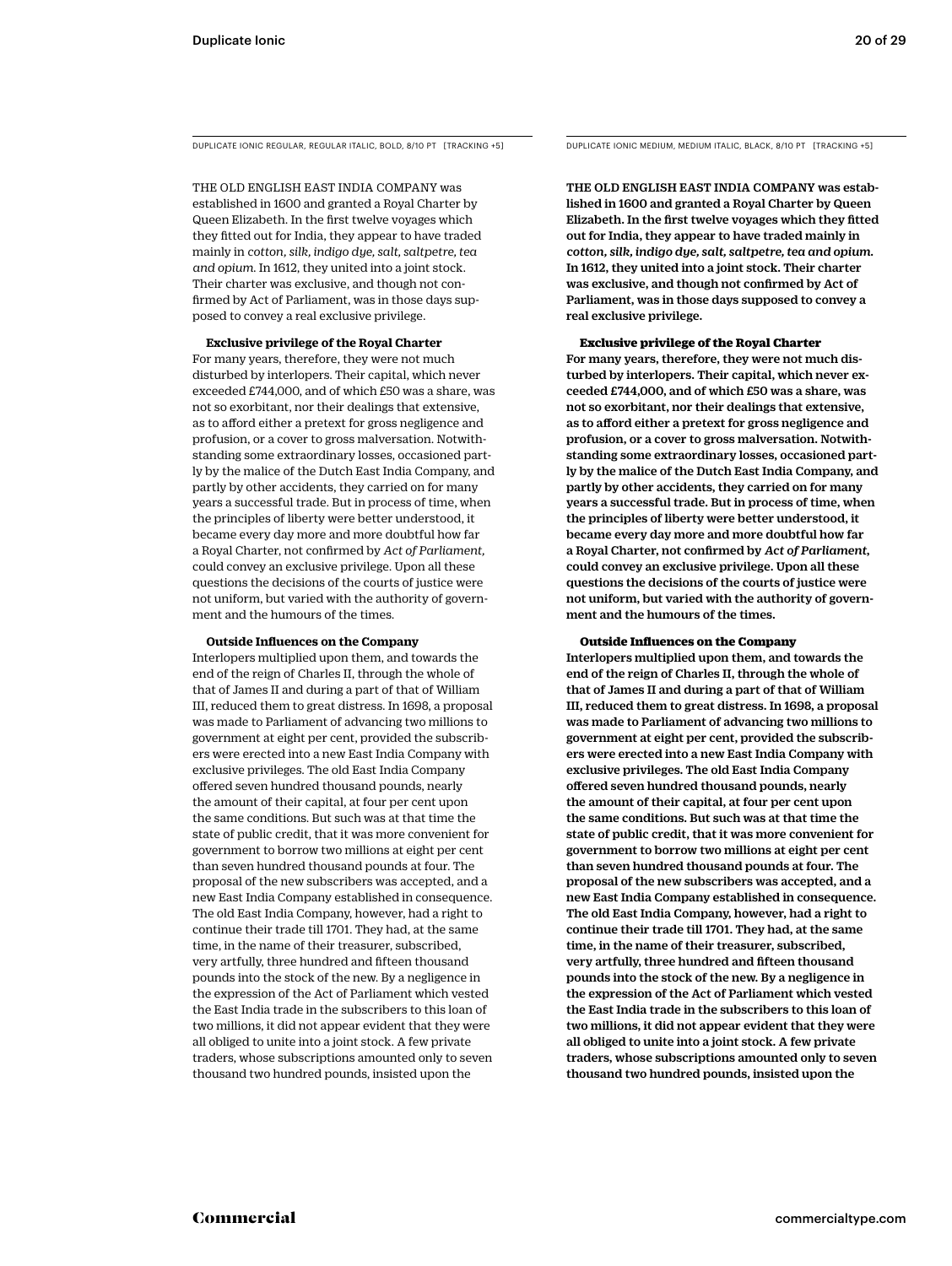DUPLICATE IONIC REGULAR, REGULAR ITALIC, BOLD, 8/10 PT [TRACKING +5] DUPLICATE IONIC MEDIUM, MEDIUM ITALIC, BLACK, 8/10 PT [TRACKING +5]

THE OLD ENGLISH EAST INDIA COMPANY was established in 1600 and granted a Royal Charter by Queen Elizabeth. In the first twelve voyages which they fitted out for India, they appear to have traded mainly in *cotton, silk, indigo dye, salt, saltpetre, tea and opium*. In 1612, they united into a joint stock. Their charter was exclusive, and though not confirmed by Act of Parliament, was in those days supposed to convey a real exclusive privilege.

#### **Exclusive privilege of the Royal Charter**

For many years, therefore, they were not much disturbed by interlopers. Their capital, which never exceeded £744,000, and of which £50 was a share, was not so exorbitant, nor their dealings that extensive, as to afford either a pretext for gross negligence and profusion, or a cover to gross malversation. Notwithstanding some extraordinary losses, occasioned partly by the malice of the Dutch East India Company, and partly by other accidents, they carried on for many years a successful trade. But in process of time, when the principles of liberty were better understood, it became every day more and more doubtful how far a Royal Charter, not confirmed by *Act of Parliament,* could convey an exclusive privilege. Upon all these questions the decisions of the courts of justice were not uniform, but varied with the authority of government and the humours of the times.

#### **Outside Influences on the Company**

Interlopers multiplied upon them, and towards the end of the reign of Charles II, through the whole of that of James II and during a part of that of William III, reduced them to great distress. In 1698, a proposal was made to Parliament of advancing two millions to government at eight per cent, provided the subscribers were erected into a new East India Company with exclusive privileges. The old East India Company offered seven hundred thousand pounds, nearly the amount of their capital, at four per cent upon the same conditions. But such was at that time the state of public credit, that it was more convenient for government to borrow two millions at eight per cent than seven hundred thousand pounds at four. The proposal of the new subscribers was accepted, and a new East India Company established in consequence. The old East India Company, however, had a right to continue their trade till 1701. They had, at the same time, in the name of their treasurer, subscribed, very artfully, three hundred and fifteen thousand pounds into the stock of the new. By a negligence in the expression of the Act of Parliament which vested the East India trade in the subscribers to this loan of two millions, it did not appear evident that they were all obliged to unite into a joint stock. A few private traders, whose subscriptions amounted only to seven thousand two hundred pounds, insisted upon the

THE OLD ENGLISH EAST INDIA COMPANY was established in 1600 and granted a Royal Charter by Queen Elizabeth. In the first twelve voyages which they fitted out for India, they appear to have traded mainly in *cotton, silk, indigo dye, salt, saltpetre, tea and opium*. In 1612, they united into a joint stock. Their charter was exclusive, and though not confirmed by Act of Parliament, was in those days supposed to convey a real exclusive privilege.

#### Exclusive privilege of the Royal Charter

For many years, therefore, they were not much disturbed by interlopers. Their capital, which never exceeded £744,000, and of which £50 was a share, was not so exorbitant, nor their dealings that extensive, as to afford either a pretext for gross negligence and profusion, or a cover to gross malversation. Notwithstanding some extraordinary losses, occasioned partly by the malice of the Dutch East India Company, and partly by other accidents, they carried on for many years a successful trade. But in process of time, when the principles of liberty were better understood, it became every day more and more doubtful how far a Royal Charter, not confirmed by *Act of Parliament*, could convey an exclusive privilege. Upon all these questions the decisions of the courts of justice were not uniform, but varied with the authority of government and the humours of the times.

#### Outside Influences on the Company

Interlopers multiplied upon them, and towards the end of the reign of Charles II, through the whole of that of James II and during a part of that of William III, reduced them to great distress. In 1698, a proposal was made to Parliament of advancing two millions to government at eight per cent, provided the subscribers were erected into a new East India Company with exclusive privileges. The old East India Company offered seven hundred thousand pounds, nearly the amount of their capital, at four per cent upon the same conditions. But such was at that time the state of public credit, that it was more convenient for government to borrow two millions at eight per cent than seven hundred thousand pounds at four. The proposal of the new subscribers was accepted, and a new East India Company established in consequence. The old East India Company, however, had a right to continue their trade till 1701. They had, at the same time, in the name of their treasurer, subscribed, very artfully, three hundred and fifteen thousand pounds into the stock of the new. By a negligence in the expression of the Act of Parliament which vested the East India trade in the subscribers to this loan of two millions, it did not appear evident that they were all obliged to unite into a joint stock. A few private traders, whose subscriptions amounted only to seven thousand two hundred pounds, insisted upon the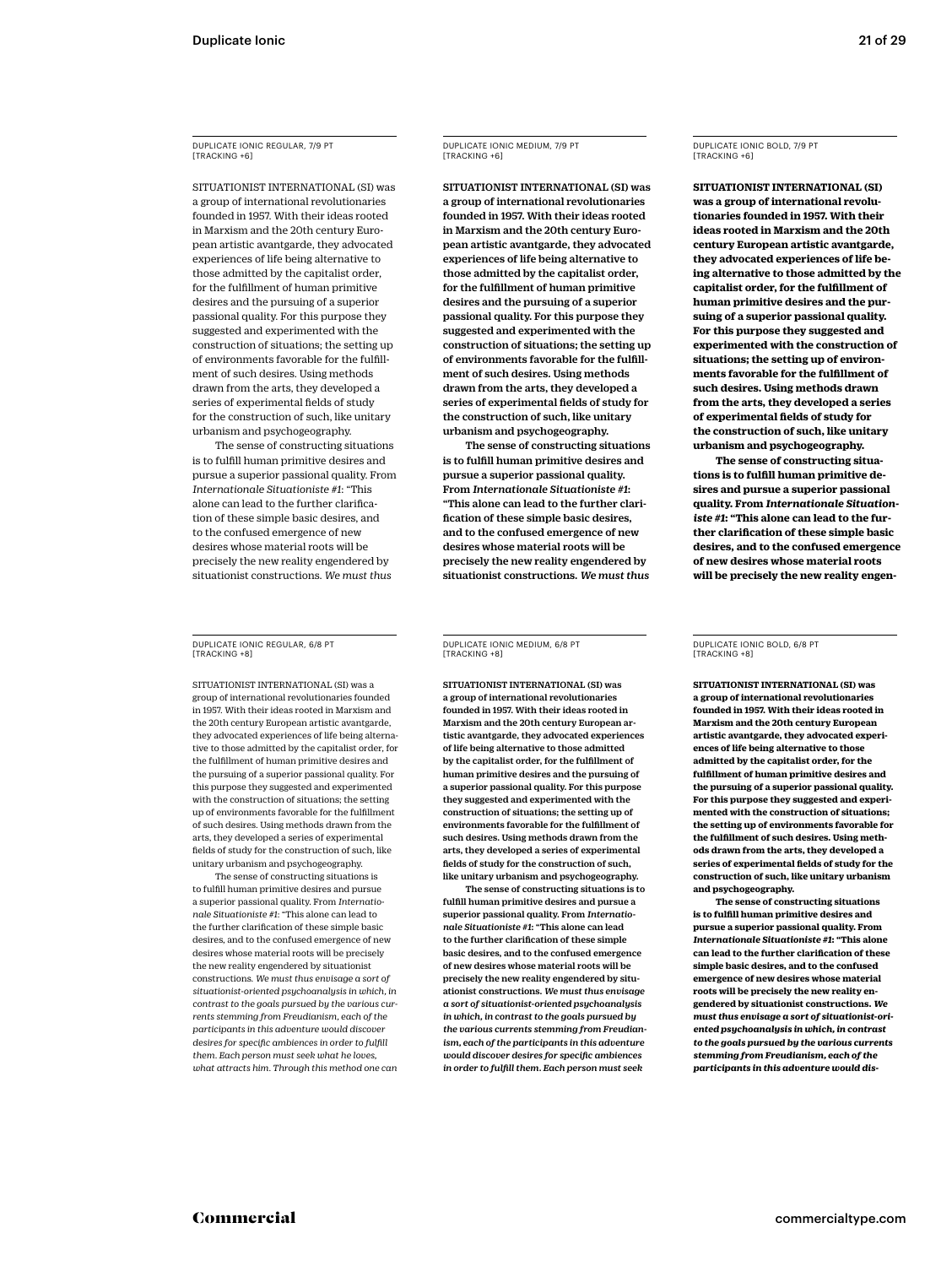DUPLICATE IONIC REGULAR, 7/9 PT [TRACKING +6]

SITUATIONIST INTERNATIONAL (SI) was a group of international revolutionaries founded in 1957. With their ideas rooted in Marxism and the 20th century European artistic avantgarde, they advocated experiences of life being alternative to those admitted by the capitalist order, for the fulfillment of human primitive desires and the pursuing of a superior passional quality. For this purpose they suggested and experimented with the construction of situations; the setting up of environments favorable for the fulfillment of such desires. Using methods drawn from the arts, they developed a series of experimental fields of study for the construction of such, like unitary urbanism and psychogeography.

The sense of constructing situations is to fulfill human primitive desires and pursue a superior passional quality. From *Internationale Situationiste #1*: "This alone can lead to the further clarification of these simple basic desires, and to the confused emergence of new desires whose material roots will be precisely the new reality engendered by situationist constructions. *We must thus* 

DUPLICATE IONIC REGULAR, 6/8 PT [TRACKING +8]

SITUATIONIST INTERNATIONAL (SI) was a group of international revolutionaries founded in 1957. With their ideas rooted in Marxism and the 20th century European artistic avantgarde, they advocated experiences of life being alternative to those admitted by the capitalist order, for the fulfillment of human primitive desires and the pursuing of a superior passional quality. For this purpose they suggested and experimented with the construction of situations; the setting up of environments favorable for the fulfillment of such desires. Using methods drawn from the arts, they developed a series of experimental fields of study for the construction of such, like unitary urbanism and psychogeography.

The sense of constructing situations is to fulfill human primitive desires and pursue a superior passional quality. From *Internationale Situationiste #1*: "This alone can lead to the further clarification of these simple basic desires, and to the confused emergence of new desires whose material roots will be precisely the new reality engendered by situationist constructions. *We must thus envisage a sort of situationist-oriented psychoanalysis in which, in contrast to the goals pursued by the various currents stemming from Freudianism, each of the participants in this adventure would discover desires for specific ambiences in order to fulfill them. Each person must seek what he loves, what attracts him. Through this method one can*  DUPLICATE IONIC MEDIUM, 7/9 PT [TRACKING +6]

SITUATIONIST INTERNATIONAL (SI) was a group of international revolutionaries founded in 1957. With their ideas rooted in Marxism and the 20th century European artistic avantgarde, they advocated experiences of life being alternative to those admitted by the capitalist order, for the fulfillment of human primitive desires and the pursuing of a superior passional quality. For this purpose they suggested and experimented with the construction of situations; the setting up of environments favorable for the fulfillment of such desires. Using methods drawn from the arts, they developed a series of experimental fields of study for the construction of such, like unitary urbanism and psychogeography.

The sense of constructing situations is to fulfill human primitive desires and pursue a superior passional quality. From *Internationale Situationiste #1*: "This alone can lead to the further clarification of these simple basic desires, and to the confused emergence of new desires whose material roots will be precisely the new reality engendered by situationist constructions. *We must thus* 

DUPLICATE IONIC MEDIUM, 6/8 PT [TRACKING +8]

SITUATIONIST INTERNATIONAL (SI) was a group of international revolutionaries founded in 1957. With their ideas rooted in Marxism and the 20th century European artistic avantgarde, they advocated experiences of life being alternative to those admitted by the capitalist order, for the fulfillment of human primitive desires and the pursuing of a superior passional quality. For this purpose they suggested and experimented with the construction of situations; the setting up of environments favorable for the fulfillment of such desires. Using methods drawn from the arts, they developed a series of experimental fields of study for the construction of such, like unitary urbanism and psychogeography.

The sense of constructing situations is to fulfill human primitive desires and pursue a superior passional quality. From *Internationale Situationiste #1*: "This alone can lead to the further clarification of these simple basic desires, and to the confused emergence of new desires whose material roots will be precisely the new reality engendered by situationist constructions. *We must thus envisage a sort of situationist-oriented psychoanalysis in which, in contrast to the goals pursued by the various currents stemming from Freudianism, each of the participants in this adventure would discover desires for specific ambiences in order to fulfill them. Each person must seek* 

DUPLICATE IONIC BOLD, 7/9 PT [TRACKING +6]

**SITUATIONIST INTERNATIONAL (SI) was a group of international revolutionaries founded in 1957. With their ideas rooted in Marxism and the 20th century European artistic avantgarde, they advocated experiences of life being alternative to those admitted by the capitalist order, for the fulfillment of human primitive desires and the pursuing of a superior passional quality. For this purpose they suggested and experimented with the construction of situations; the setting up of environments favorable for the fulfillment of such desires. Using methods drawn from the arts, they developed a series of experimental fields of study for the construction of such, like unitary urbanism and psychogeography.**

**The sense of constructing situations is to fulfill human primitive desires and pursue a superior passional quality. From** *Internationale Situationiste #1***: "This alone can lead to the further clarification of these simple basic desires, and to the confused emergence of new desires whose material roots will be precisely the new reality engen-**

DUPLICATE IONIC BOLD, 6/8 PT [TRACKING +8]

**SITUATIONIST INTERNATIONAL (SI) was a group of international revolutionaries founded in 1957. With their ideas rooted in Marxism and the 20th century European artistic avantgarde, they advocated experiences of life being alternative to those admitted by the capitalist order, for the fulfillment of human primitive desires and the pursuing of a superior passional quality. For this purpose they suggested and experimented with the construction of situations; the setting up of environments favorable for the fulfillment of such desires. Using methods drawn from the arts, they developed a series of experimental fields of study for the construction of such, like unitary urbanism and psychogeography.**

**The sense of constructing situations is to fulfill human primitive desires and pursue a superior passional quality. From**  *Internationale Situationiste #1***: "This alone can lead to the further clarification of these simple basic desires, and to the confused emergence of new desires whose material roots will be precisely the new reality engendered by situationist constructions.** *We must thus envisage a sort of situationist-oriented psychoanalysis in which, in contrast to the goals pursued by the various currents stemming from Freudianism, each of the participants in this adventure would dis-*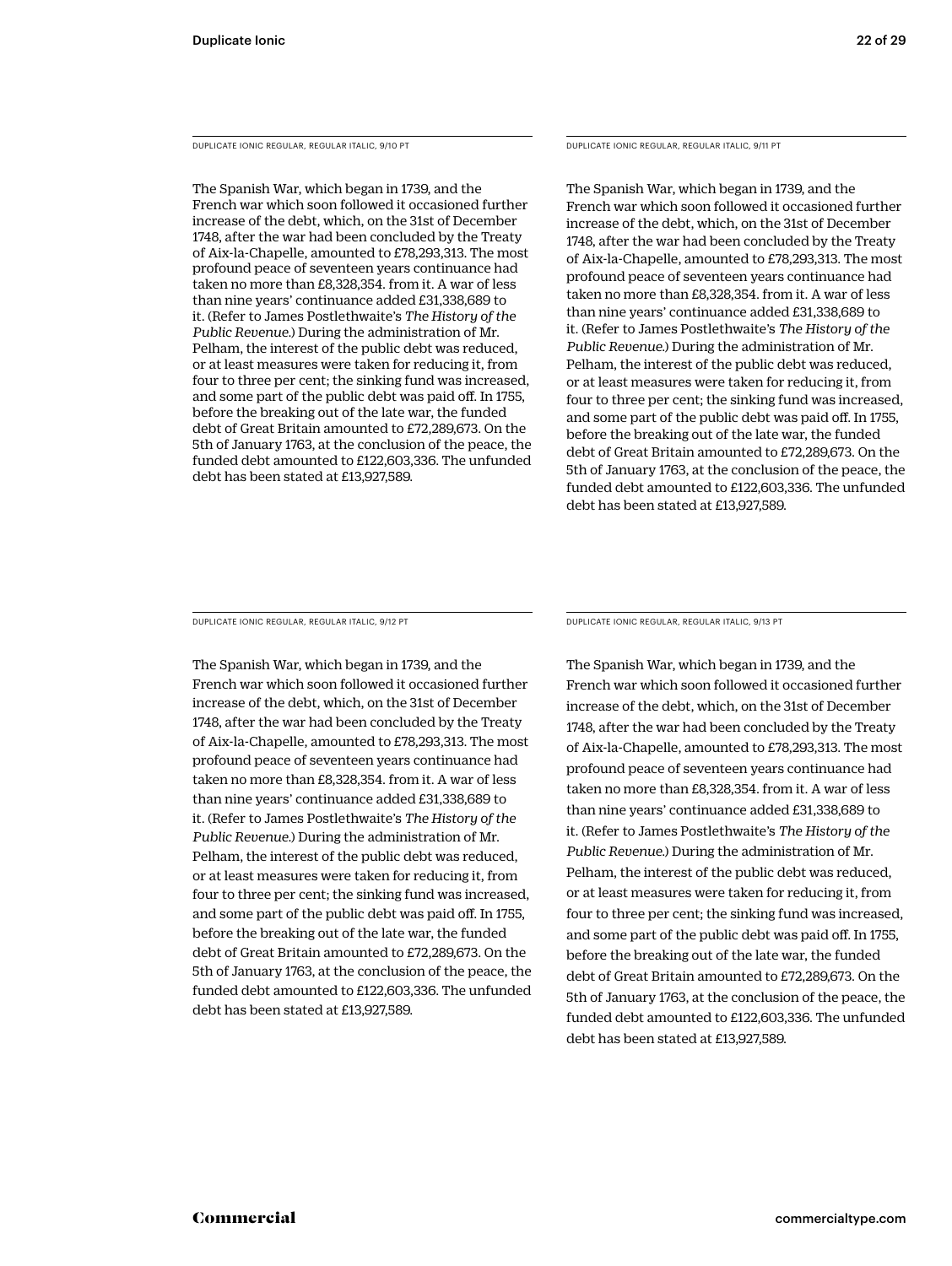DUPLICATE IONIC REGULAR, REGULAR ITALIC, 9/10 PT

The Spanish War, which began in 1739, and the French war which soon followed it occasioned further increase of the debt, which, on the 31st of December 1748, after the war had been concluded by the Treaty of Aix-la-Chapelle, amounted to £78,293,313. The most profound peace of seventeen years continuance had taken no more than £8,328,354. from it. A war of less than nine years' continuance added £31,338,689 to it. (Refer to James Postlethwaite's *The History of the Public Revenue.*) During the administration of Mr. Pelham, the interest of the public debt was reduced, or at least measures were taken for reducing it, from four to three per cent; the sinking fund was increased, and some part of the public debt was paid off. In 1755, before the breaking out of the late war, the funded debt of Great Britain amounted to £72,289,673. On the 5th of January 1763, at the conclusion of the peace, the funded debt amounted to £122,603,336. The unfunded debt has been stated at £13,927,589.

#### DUPLICATE IONIC REGULAR, REGULAR ITALIC, 9/11 PT

The Spanish War, which began in 1739, and the French war which soon followed it occasioned further increase of the debt, which, on the 31st of December 1748, after the war had been concluded by the Treaty of Aix-la-Chapelle, amounted to £78,293,313. The most profound peace of seventeen years continuance had taken no more than £8,328,354. from it. A war of less than nine years' continuance added £31,338,689 to it. (Refer to James Postlethwaite's *The History of the Public Revenue.*) During the administration of Mr. Pelham, the interest of the public debt was reduced, or at least measures were taken for reducing it, from four to three per cent; the sinking fund was increased, and some part of the public debt was paid off. In 1755, before the breaking out of the late war, the funded debt of Great Britain amounted to £72,289,673. On the 5th of January 1763, at the conclusion of the peace, the funded debt amounted to £122,603,336. The unfunded debt has been stated at £13,927,589.

DUPLICATE IONIC REGULAR, REGULAR ITALIC, 9/12 PT

The Spanish War, which began in 1739, and the French war which soon followed it occasioned further increase of the debt, which, on the 31st of December 1748, after the war had been concluded by the Treaty of Aix-la-Chapelle, amounted to £78,293,313. The most profound peace of seventeen years continuance had taken no more than £8,328,354. from it. A war of less than nine years' continuance added £31,338,689 to it. (Refer to James Postlethwaite's *The History of the Public Revenue.*) During the administration of Mr. Pelham, the interest of the public debt was reduced, or at least measures were taken for reducing it, from four to three per cent; the sinking fund was increased, and some part of the public debt was paid off. In 1755, before the breaking out of the late war, the funded debt of Great Britain amounted to £72,289,673. On the 5th of January 1763, at the conclusion of the peace, the funded debt amounted to £122,603,336. The unfunded debt has been stated at £13,927,589.

DUPLICATE IONIC REGULAR, REGULAR ITALIC, 9/13 PT

The Spanish War, which began in 1739, and the French war which soon followed it occasioned further increase of the debt, which, on the 31st of December 1748, after the war had been concluded by the Treaty of Aix-la-Chapelle, amounted to £78,293,313. The most profound peace of seventeen years continuance had taken no more than £8,328,354. from it. A war of less than nine years' continuance added £31,338,689 to it. (Refer to James Postlethwaite's *The History of the Public Revenue.*) During the administration of Mr. Pelham, the interest of the public debt was reduced, or at least measures were taken for reducing it, from four to three per cent; the sinking fund was increased, and some part of the public debt was paid off. In 1755, before the breaking out of the late war, the funded debt of Great Britain amounted to £72,289,673. On the 5th of January 1763, at the conclusion of the peace, the funded debt amounted to £122,603,336. The unfunded debt has been stated at £13,927,589.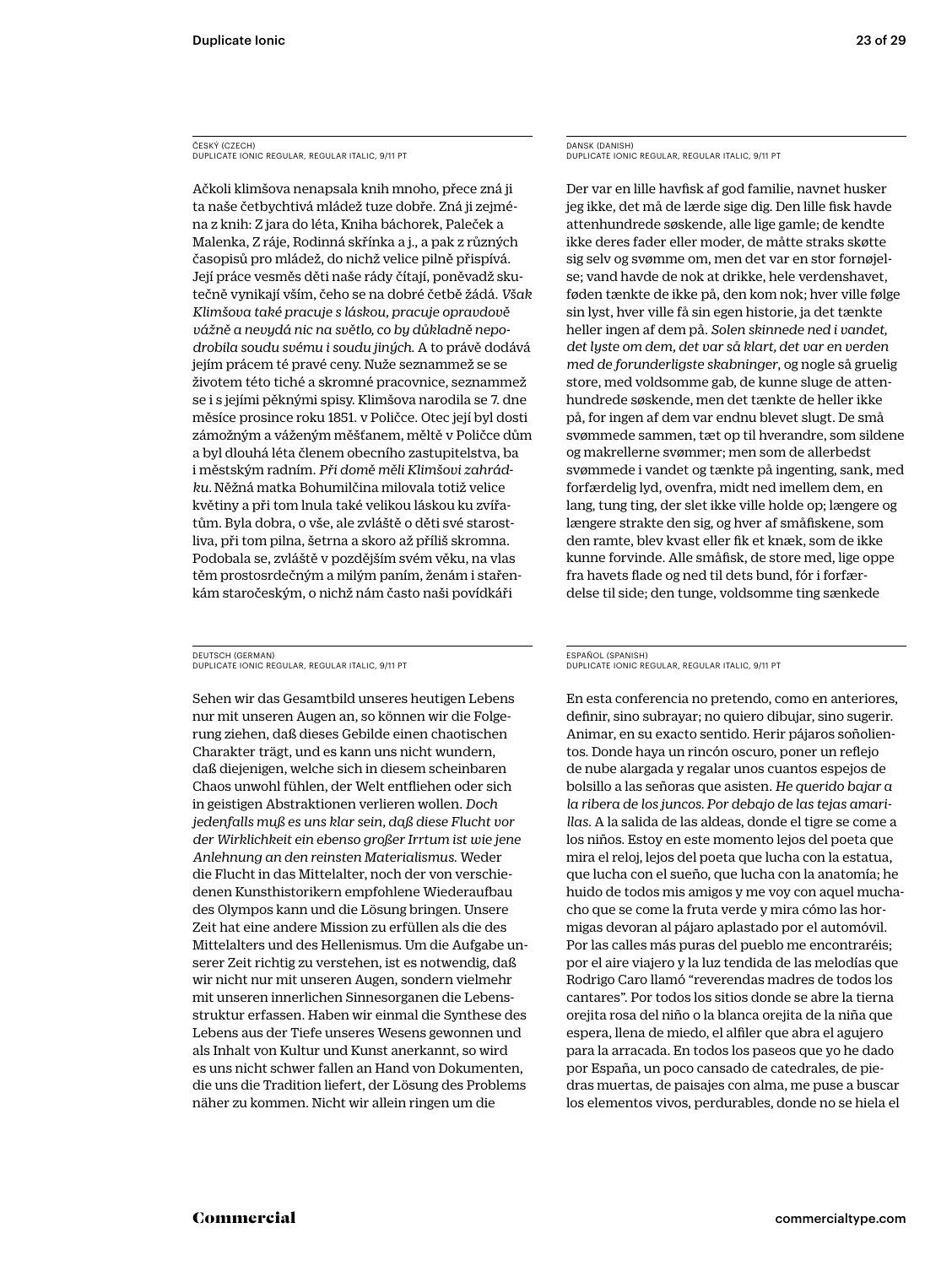#### ČESKÝ (CZECH) DUPLICATE IONIC REGULAR, REGULAR ITALIC, 9/11 PT

Ačkoli klimšova nenapsala knih mnoho, přece zná ji ta naše četbychtivá mládež tuze dobře. Zná ji zejména z knih: Z jara do léta, Kniha báchorek, Paleček a Malenka, Z ráje, Rodinná skřínka a j., a pak z různých časopisů pro mládež, do nichž velice pilně přispívá. Její práce vesměs děti naše rády čítají, poněvadž skutečně vynikají vším, čeho se na dobré četbě žádá. *Však Klimšova také pracuje s láskou, pracuje opravdově vážně a nevydá nic na světlo, co by důkladně nepodrobila soudu svému i soudu jiných*. A to právě dodává jejím prácem té pravé ceny. Nuže seznammež se se životem této tiché a skromné pracovnice, seznammež se i s jejími pěknými spisy. Klimšova narodila se 7. dne měsíce prosince roku 1851. v Poličce. Otec její byl dosti zámožným a váženým měšťanem, měltě v Poličce dům a byl dlouhá léta členem obecního zastupitelstva, ba i městským radním. *Při domě měli Klimšovi zahrádku.* Něžná matka Bohumilčina milovala totiž velice květiny a při tom lnula také velikou láskou ku zvířatům. Byla dobra, o vše, ale zvláště o děti své starostliva, při tom pilna, šetrna a skoro až příliš skromna. Podobala se, zvláště v pozdějším svém věku, na vlas těm prostosrdečným a milým paním, ženám i stařenkám staročeským, o nichž nám často naši povídkáři

#### DEUTSCH (GERMAN) DUPLICATE IONIC REGULAR, REGULAR ITALIC, 9/11 PT

Sehen wir das Gesamtbild unseres heutigen Lebens nur mit unseren Augen an, so können wir die Folgerung ziehen, daß dieses Gebilde einen chaotischen Charakter trägt, und es kann uns nicht wundern, daß diejenigen, welche sich in diesem scheinbaren Chaos unwohl fühlen, der Welt entfliehen oder sich in geistigen Abstraktionen verlieren wollen. *Doch jedenfalls muß es uns klar sein, daß diese Flucht vor der Wirklichkeit ein ebenso großer Irrtum ist wie jene Anlehnung an den reinsten Materialismus*. Weder die Flucht in das Mittelalter, noch der von verschiedenen Kunsthistorikern empfohlene Wiederaufbau des Olympos kann und die Lösung bringen. Unsere Zeit hat eine andere Mission zu erfüllen als die des Mittelalters und des Hellenismus. Um die Aufgabe unserer Zeit richtig zu verstehen, ist es notwendig, daß wir nicht nur mit unseren Augen, sondern vielmehr mit unseren innerlichen Sinnesorganen die Lebensstruktur erfassen. Haben wir einmal die Synthese des Lebens aus der Tiefe unseres Wesens gewonnen und als Inhalt von Kultur und Kunst anerkannt, so wird es uns nicht schwer fallen an Hand von Dokumenten, die uns die Tradition liefert, der Lösung des Problems näher zu kommen. Nicht wir allein ringen um die

#### DANSK (DANISH) DUPLICATE IONIC REGULAR, REGULAR ITALIC, 9/11 PT

Der var en lille havfisk af god familie, navnet husker jeg ikke, det må de lærde sige dig. Den lille fisk havde attenhundrede søskende, alle lige gamle; de kendte ikke deres fader eller moder, de måtte straks skøtte sig selv og svømme om, men det var en stor fornøjelse; vand havde de nok at drikke, hele verdenshavet, føden tænkte de ikke på, den kom nok; hver ville følge sin lyst, hver ville få sin egen historie, ja det tænkte heller ingen af dem på. *Solen skinnede ned i vandet, det lyste om dem, det var så klart, det var en verden med de forunderligste skabninger*, og nogle så gruelig store, med voldsomme gab, de kunne sluge de attenhundrede søskende, men det tænkte de heller ikke på, for ingen af dem var endnu blevet slugt. De små svømmede sammen, tæt op til hverandre, som sildene og makrellerne svømmer; men som de allerbedst svømmede i vandet og tænkte på ingenting, sank, med forfærdelig lyd, ovenfra, midt ned imellem dem, en lang, tung ting, der slet ikke ville holde op; længere og længere strakte den sig, og hver af småfiskene, som den ramte, blev kvast eller fik et knæk, som de ikke kunne forvinde. Alle småfisk, de store med, lige oppe fra havets flade og ned til dets bund, fór i forfærdelse til side; den tunge, voldsomme ting sænkede

#### ESPAÑOL (SPANISH) DUPLICATE IONIC REGULAR, REGULAR ITALIC, 9/11 PT

En esta conferencia no pretendo, como en anteriores, definir, sino subrayar; no quiero dibujar, sino sugerir. Animar, en su exacto sentido. Herir pájaros soñolientos. Donde haya un rincón oscuro, poner un reflejo de nube alargada y regalar unos cuantos espejos de bolsillo a las señoras que asisten. *He querido bajar a la ribera de los juncos. Por debajo de las tejas amarillas*. A la salida de las aldeas, donde el tigre se come a los niños. Estoy en este momento lejos del poeta que mira el reloj, lejos del poeta que lucha con la estatua, que lucha con el sueño, que lucha con la anatomía; he huido de todos mis amigos y me voy con aquel muchacho que se come la fruta verde y mira cómo las hormigas devoran al pájaro aplastado por el automóvil. Por las calles más puras del pueblo me encontraréis; por el aire viajero y la luz tendida de las melodías que Rodrigo Caro llamó "reverendas madres de todos los cantares". Por todos los sitios donde se abre la tierna orejita rosa del niño o la blanca orejita de la niña que espera, llena de miedo, el alfiler que abra el agujero para la arracada. En todos los paseos que yo he dado por España, un poco cansado de catedrales, de piedras muertas, de paisajes con alma, me puse a buscar los elementos vivos, perdurables, donde no se hiela el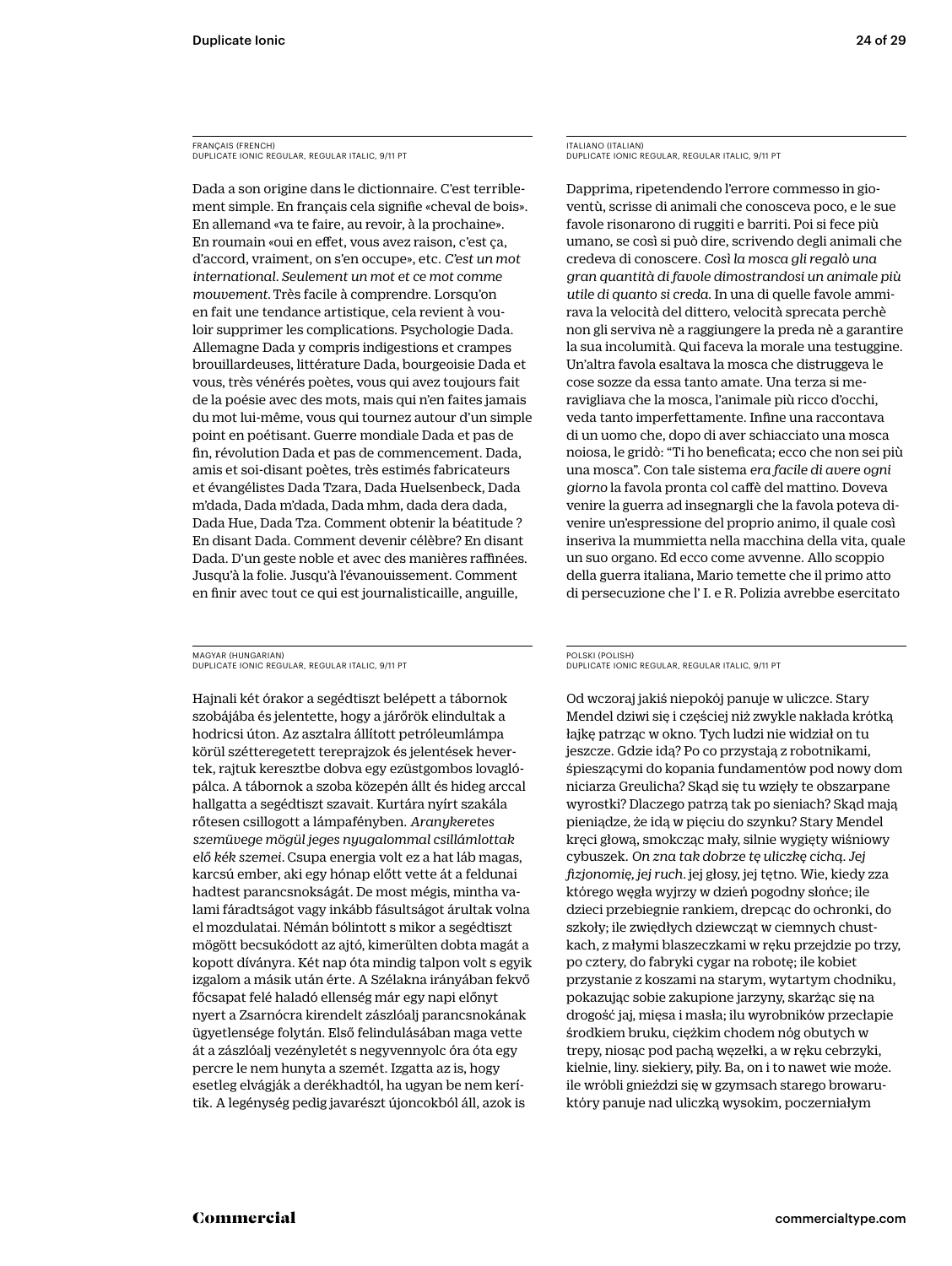FRANÇAIS (FRENCH) DUPLICATE IONIC REGULAR, REGULAR ITALIC, 9/11 PT

Dada a son origine dans le dictionnaire. C'est terriblement simple. En français cela signifie «cheval de bois». En allemand «va te faire, au revoir, à la prochaine». En roumain «oui en effet, vous avez raison, c'est ça, d'accord, vraiment, on s'en occupe», etc. *C'est un mot international. Seulement un mot et ce mot comme mouvement.* Très facile à comprendre. Lorsqu'on en fait une tendance artistique, cela revient à vouloir supprimer les complications. Psychologie Dada. Allemagne Dada y compris indigestions et crampes brouillardeuses, littérature Dada, bourgeoisie Dada et vous, très vénérés poètes, vous qui avez toujours fait de la poésie avec des mots, mais qui n'en faites jamais du mot lui-même, vous qui tournez autour d'un simple point en poétisant. Guerre mondiale Dada et pas de fin, révolution Dada et pas de commencement. Dada, amis et soi-disant poètes, très estimés fabricateurs et évangélistes Dada Tzara, Dada Huelsenbeck, Dada m'dada, Dada m'dada, Dada mhm, dada dera dada, Dada Hue, Dada Tza. Comment obtenir la béatitude ? En disant Dada. Comment devenir célèbre? En disant Dada. D'un geste noble et avec des manières raffinées. Jusqu'à la folie. Jusqu'à l'évanouissement. Comment en finir avec tout ce qui est journalisticaille, anguille,

MAGYAR (HUNGARIAN) DUPLICATE IONIC REGULAR, REGULAR ITALIC, 9/11 PT

Hajnali két órakor a segédtiszt belépett a tábornok szobájába és jelentette, hogy a járőrök elindultak a hodricsi úton. Az asztalra állított petróleumlámpa körül szétteregetett tereprajzok és jelentések hevertek, rajtuk keresztbe dobva egy ezüstgombos lovaglópálca. A tábornok a szoba közepén állt és hideg arccal hallgatta a segédtiszt szavait. Kurtára nyírt szakála rőtesen csillogott a lámpafényben. *Aranykeretes szemüvege mögül jeges nyugalommal csillámlottak elő kék szemei.* Csupa energia volt ez a hat láb magas, karcsú ember, aki egy hónap előtt vette át a feldunai hadtest parancsnokságát. De most mégis, mintha valami fáradtságot vagy inkább fásultságot árultak volna el mozdulatai. Némán bólintott s mikor a segédtiszt mögött becsukódott az ajtó, kimerülten dobta magát a kopott díványra. Két nap óta mindig talpon volt s egyik izgalom a másik után érte. A Szélakna irányában fekvő főcsapat felé haladó ellenség már egy napi előnyt nyert a Zsarnócra kirendelt zászlóalj parancsnokának ügyetlensége folytán. Első felindulásában maga vette át a zászlóalj vezényletét s negyvennyolc óra óta egy percre le nem hunyta a szemét. Izgatta az is, hogy esetleg elvágják a derékhadtól, ha ugyan be nem kerítik. A legénység pedig javarészt újoncokból áll, azok is

ITALIANO (ITALIAN) DUPLICATE IONIC REGULAR, REGULAR ITALIC, 9/11 PT

Dapprima, ripetendendo l'errore commesso in gioventù, scrisse di animali che conosceva poco, e le sue favole risonarono di ruggiti e barriti. Poi si fece più umano, se così si può dire, scrivendo degli animali che credeva di conoscere. *Così la mosca gli regalò una gran quantità di favole dimostrandosi un animale più utile di quanto si creda*. In una di quelle favole ammirava la velocità del dittero, velocità sprecata perchè non gli serviva nè a raggiungere la preda nè a garantire la sua incolumità. Qui faceva la morale una testuggine. Un'altra favola esaltava la mosca che distruggeva le cose sozze da essa tanto amate. Una terza si meravigliava che la mosca, l'animale più ricco d'occhi, veda tanto imperfettamente. Infine una raccontava di un uomo che, dopo di aver schiacciato una mosca noiosa, le gridò: "Ti ho beneficata; ecco che non sei più una mosca". Con tale sistema *era facile di avere ogni giorno* la favola pronta col caffè del mattino. Doveva venire la guerra ad insegnargli che la favola poteva divenire un'espressione del proprio animo, il quale così inseriva la mummietta nella macchina della vita, quale un suo organo. Ed ecco come avvenne. Allo scoppio della guerra italiana, Mario temette che il primo atto di persecuzione che l' I. e R. Polizia avrebbe esercitato

#### POLSKI (POLISH) DUPLICATE IONIC REGULAR, REGULAR ITALIC, 9/11 PT

Od wczoraj jakiś niepokój panuje w uliczce. Stary Mendel dziwi się i częściej niż zwykle nakłada krótką łajkę patrząc w okno. Tych ludzi nie widział on tu jeszcze. Gdzie idą? Po co przystają z robotnikami, śpieszącymi do kopania fundamentów pod nowy dom niciarza Greulicha? Skąd się tu wzięły te obszarpane wyrostki? Dlaczego patrzą tak po sieniach? Skąd mają pieniądze, że idą w pięciu do szynku? Stary Mendel kręci głową, smokcząc mały, silnie wygięty wiśniowy cybuszek. *On zna tak dobrze tę uliczkę cichą. Jej fizjonomię, jej ruch.* jej głosy, jej tętno. Wie, kiedy zza którego węgła wyjrzy w dzień pogodny słońce; ile dzieci przebiegnie rankiem, drepcąc do ochronki, do szkoły; ile zwiędłych dziewcząt w ciemnych chustkach, z małymi blaszeczkami w ręku przejdzie po trzy, po cztery, do fabryki cygar na robotę; ile kobiet przystanie z koszami na starym, wytartym chodniku, pokazując sobie zakupione jarzyny, skarżąc się na drogość jaj, mięsa i masła; ilu wyrobników przecłapie środkiem bruku, ciężkim chodem nóg obutych w trepy, niosąc pod pachą węzełki, a w ręku cebrzyki, kielnie, liny. siekiery, piły. Ba, on i to nawet wie może. ile wróbli gnieździ się w gzymsach starego browaruktóry panuje nad uliczką wysokim, poczerniałym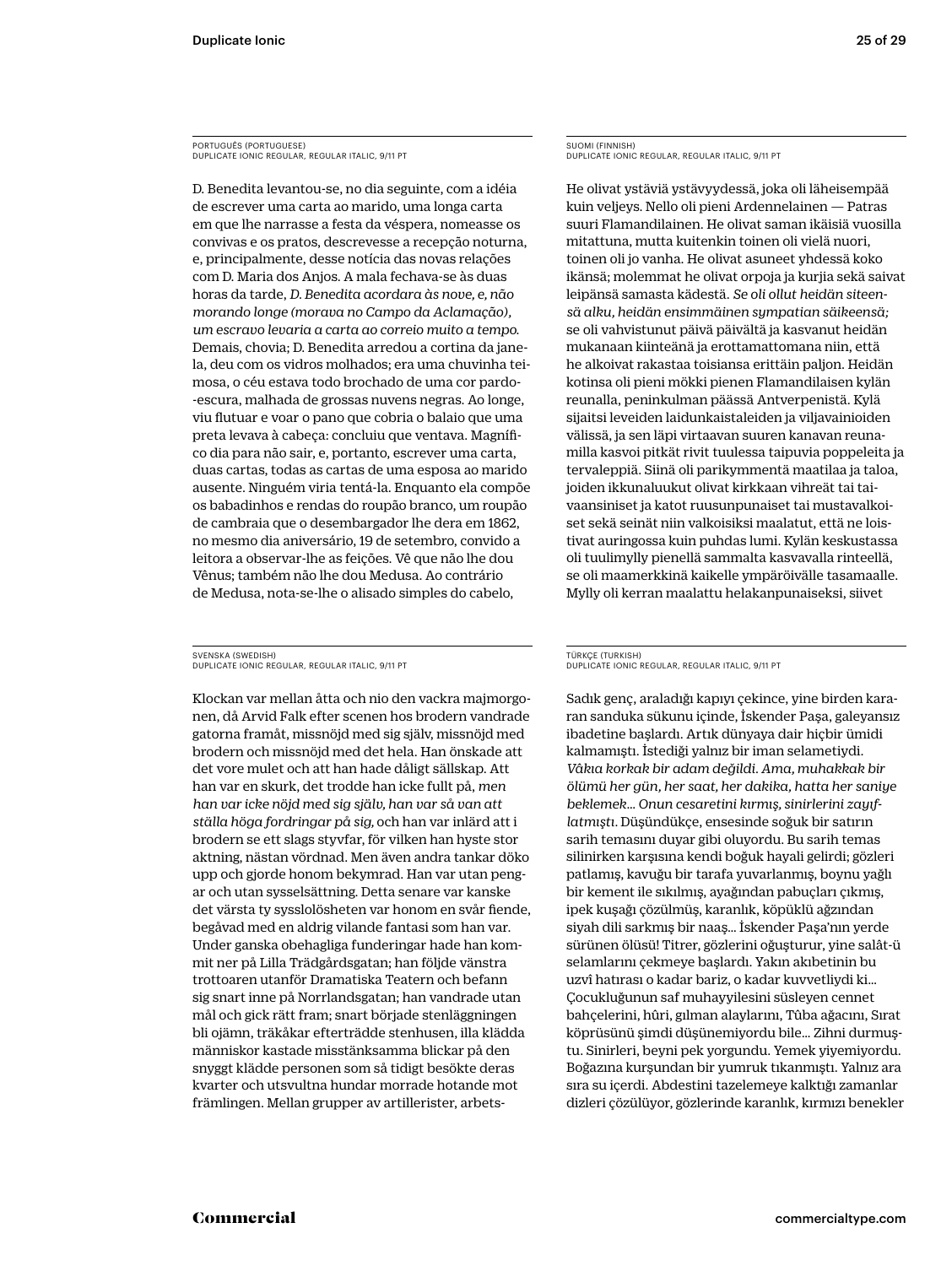PORTUGUÊS (PORTUGUESE) DUPLICATE IONIC REGULAR, REGULAR ITALIC, 9/11 PT

D. Benedita levantou-se, no dia seguinte, com a idéia de escrever uma carta ao marido, uma longa carta em que lhe narrasse a festa da véspera, nomeasse os convivas e os pratos, descrevesse a recepção noturna, e, principalmente, desse notícia das novas relações com D. Maria dos Anjos. A mala fechava-se às duas horas da tarde, *D. Benedita acordara às nove, e, não morando longe (morava no Campo da Aclamação), um escravo levaria a carta ao correio muito a tempo.* Demais, chovia; D. Benedita arredou a cortina da janela, deu com os vidros molhados; era uma chuvinha teimosa, o céu estava todo brochado de uma cor pardo- -escura, malhada de grossas nuvens negras. Ao longe, viu flutuar e voar o pano que cobria o balaio que uma preta levava à cabeça: concluiu que ventava. Magnífico dia para não sair, e, portanto, escrever uma carta, duas cartas, todas as cartas de uma esposa ao marido ausente. Ninguém viria tentá-la. Enquanto ela compõe os babadinhos e rendas do roupão branco, um roupão de cambraia que o desembargador lhe dera em 1862, no mesmo dia aniversário, 19 de setembro, convido a leitora a observar-lhe as feições. Vê que não lhe dou Vênus; também não lhe dou Medusa. Ao contrário de Medusa, nota-se-lhe o alisado simples do cabelo,

SVENSKA (SWEDISH) DUPLICATE IONIC REGULAR, REGULAR ITALIC, 9/11 PT

Klockan var mellan åtta och nio den vackra majmorgonen, då Arvid Falk efter scenen hos brodern vandrade gatorna framåt, missnöjd med sig själv, missnöjd med brodern och missnöjd med det hela. Han önskade att det vore mulet och att han hade dåligt sällskap. Att han var en skurk, det trodde han icke fullt på, *men han var icke nöjd med sig själv, han var så van att ställa höga fordringar på sig,* och han var inlärd att i brodern se ett slags styvfar, för vilken han hyste stor aktning, nästan vördnad. Men även andra tankar döko upp och gjorde honom bekymrad. Han var utan pengar och utan sysselsättning. Detta senare var kanske det värsta ty sysslolösheten var honom en svår fiende, begåvad med en aldrig vilande fantasi som han var. Under ganska obehagliga funderingar hade han kommit ner på Lilla Trädgårdsgatan; han följde vänstra trottoaren utanför Dramatiska Teatern och befann sig snart inne på Norrlandsgatan; han vandrade utan mål och gick rätt fram; snart började stenläggningen bli ojämn, träkåkar efterträdde stenhusen, illa klädda människor kastade misstänksamma blickar på den snyggt klädde personen som så tidigt besökte deras kvarter och utsvultna hundar morrade hotande mot främlingen. Mellan grupper av artillerister, arbetsSUOMI (FINNISH) DUPLICATE IONIC REGULAR, REGULAR ITALIC, 9/11 PT

He olivat ystäviä ystävyydessä, joka oli läheisempää kuin veljeys. Nello oli pieni Ardennelainen — Patras suuri Flamandilainen. He olivat saman ikäisiä vuosilla mitattuna, mutta kuitenkin toinen oli vielä nuori, toinen oli jo vanha. He olivat asuneet yhdessä koko ikänsä; molemmat he olivat orpoja ja kurjia sekä saivat leipänsä samasta kädestä. *Se oli ollut heidän siteensä alku, heidän ensimmäinen sympatian säikeensä;* se oli vahvistunut päivä päivältä ja kasvanut heidän mukanaan kiinteänä ja erottamattomana niin, että he alkoivat rakastaa toisiansa erittäin paljon. Heidän kotinsa oli pieni mökki pienen Flamandilaisen kylän reunalla, peninkulman päässä Antverpenistä. Kylä sijaitsi leveiden laidunkaistaleiden ja viljavainioiden välissä, ja sen läpi virtaavan suuren kanavan reunamilla kasvoi pitkät rivit tuulessa taipuvia poppeleita ja tervaleppiä. Siinä oli parikymmentä maatilaa ja taloa, joiden ikkunaluukut olivat kirkkaan vihreät tai taivaansiniset ja katot ruusunpunaiset tai mustavalkoiset sekä seinät niin valkoisiksi maalatut, että ne loistivat auringossa kuin puhdas lumi. Kylän keskustassa oli tuulimylly pienellä sammalta kasvavalla rinteellä, se oli maamerkkinä kaikelle ympäröivälle tasamaalle. Mylly oli kerran maalattu helakanpunaiseksi, siivet

#### TÜRKÇE (TURKISH) DUPLICATE IONIC REGULAR, REGULAR ITALIC, 9/11 PT

Sadık genç, araladığı kapıyı çekince, yine birden kararan sanduka sükunu içinde, İskender Paşa, galeyansız ibadetine başlardı. Artık dünyaya dair hiçbir ümidi kalmamıştı. İstediği yalnız bir iman selametiydi. *Vâkıa korkak bir adam değildi. Ama, muhakkak bir ölümü her gün, her saat, her dakika, hatta her saniye beklemek… Onun cesaretini kırmış, sinirlerini zayıflatmıştı.* Düşündükçe, ensesinde soğuk bir satırın sarih temasını duyar gibi oluyordu. Bu sarih temas silinirken karşısına kendi boğuk hayali gelirdi; gözleri patlamış, kavuğu bir tarafa yuvarlanmış, boynu yağlı bir kement ile sıkılmış, ayağından pabuçları çıkmış, ipek kuşağı çözülmüş, karanlık, köpüklü ağzından siyah dili sarkmış bir naaş… İskender Paşa'nın yerde sürünen ölüsü! Titrer, gözlerini oğuşturur, yine salât-ü selamlarını çekmeye başlardı. Yakın akıbetinin bu uzvî hatırası o kadar bariz, o kadar kuvvetliydi ki… Çocukluğunun saf muhayyilesini süsleyen cennet bahçelerini, hûri, gılman alaylarını, Tûba ağacını, Sırat köprüsünü şimdi düşünemiyordu bile… Zihni durmuştu. Sinirleri, beyni pek yorgundu. Yemek yiyemiyordu. Boğazına kurşundan bir yumruk tıkanmıştı. Yalnız ara sıra su içerdi. Abdestini tazelemeye kalktığı zamanlar dizleri çözülüyor, gözlerinde karanlık, kırmızı benekler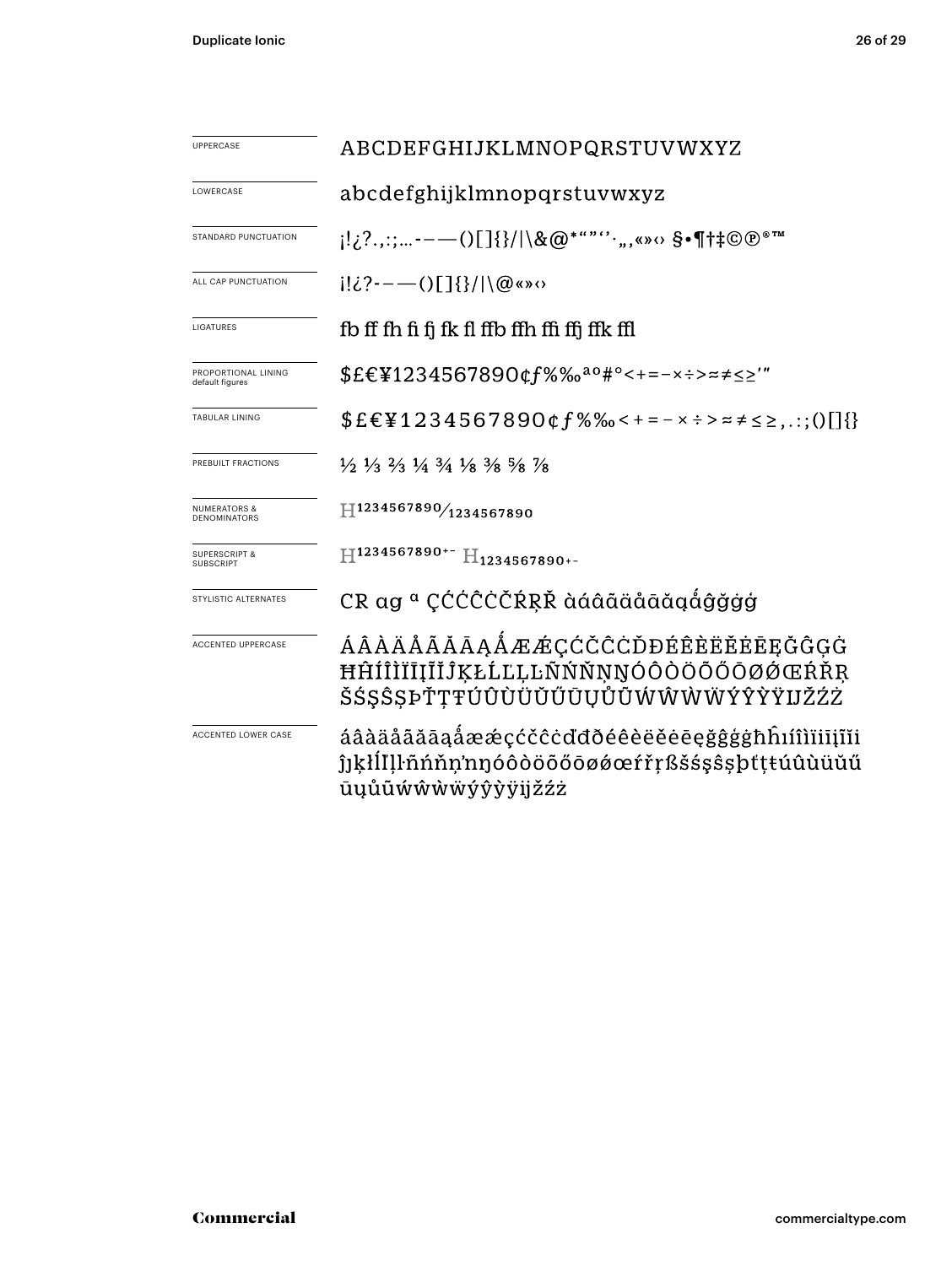| <b>UPPERCASE</b>                               | ABCDEFGHIJKLMNOPQRSTUVWXYZ                                                                                                    |  |  |  |  |
|------------------------------------------------|-------------------------------------------------------------------------------------------------------------------------------|--|--|--|--|
| LOWERCASE                                      | abcdefghijklmnopqrstuvwxyz                                                                                                    |  |  |  |  |
| STANDARD PUNCTUATION                           | $[12,2;---()$ []{}/ \&@*""'',,«»<> \$•¶†‡©®®™                                                                                 |  |  |  |  |
| ALL CAP PUNCTUATION                            |                                                                                                                               |  |  |  |  |
| LIGATURES                                      | fb ff fh fi fj fk fl ffb ffh ffi ffj ffk ffl                                                                                  |  |  |  |  |
| PROPORTIONAL LINING<br>default figures         | \$£€¥1234567890¢f%‰ <sup>ao</sup> #°<+=-×÷>≈≠≤≥'"                                                                             |  |  |  |  |
| <b>TABULAR LINING</b>                          | $$EE\P 1234567890$ $gf$ %% < + = - x ÷ > = $\neq$ $\leq$ $\geq$ ,.:; ()[] $\}$                                                |  |  |  |  |
| PREBUILT FRACTIONS                             | $\frac{1}{2}$ $\frac{1}{3}$ $\frac{2}{3}$ $\frac{1}{4}$ $\frac{3}{4}$ $\frac{1}{8}$ $\frac{3}{8}$ $\frac{5}{8}$ $\frac{7}{8}$ |  |  |  |  |
| <b>NUMERATORS &amp;</b><br><b>DENOMINATORS</b> | H1234567890/1234567890                                                                                                        |  |  |  |  |
| <b>SUPERSCRIPT &amp;</b><br><b>SUBSCRIPT</b>   | H1234567890+- H <sub>1234567890+-</sub>                                                                                       |  |  |  |  |
| STYLISTIC ALTERNATES                           | CR ag ª CĆĆĈĊČŔŖŘ àáâãäåāăgåĝğġģ                                                                                              |  |  |  |  |
| ACCENTED UPPERCASE                             | ÁÂÀÄÅÃĂĀĄÅÆÆÇĆČĈĊĎĐÉÊÈËĚĖĒĘĞĜĢĠ<br>ĦĤÍÎÌÏĪĮĨĬĴĶŁĹĽĻĿÑŃŇŅŊÓÔÒÖŐŐŌØŹŒŔŘŖ<br>ŠŚŞŜŞÞŤŢŦÚÛÙÜŬŰŨŲŮŨŴŴŴŴÝŶŸIJŽŹŻ                     |  |  |  |  |
| ACCENTED LOWER CASE                            | áâàäåããāaåææçćčĉċďđðéêèëěeęğĝġġħĥıíîìïiiįĩĭi<br>ĵjķłĺľļŀñńňn'nŋóôòöõőōøǿœŕřŗßšśşŝşþťţŧúûùüŭű<br>ūųůũẃŵẁẅýŷỳÿijžźż             |  |  |  |  |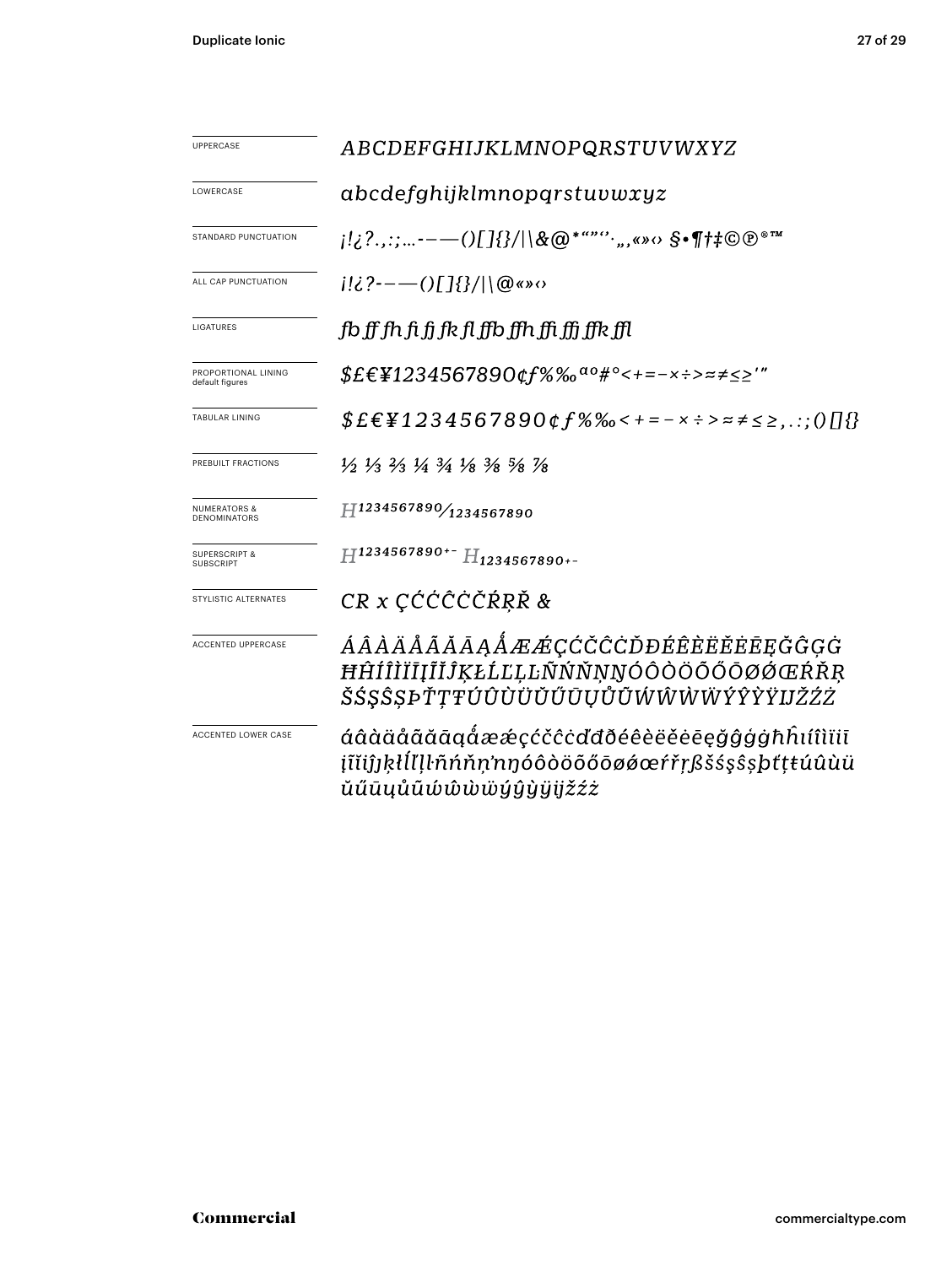| UPPERCASE                                      | ABCDEFGHIJKLMNOPQRSTUVWXYZ                                                                                                    |  |  |  |  |  |
|------------------------------------------------|-------------------------------------------------------------------------------------------------------------------------------|--|--|--|--|--|
| LOWERCASE                                      | abcdefghijklmnopqrstu vwxyz                                                                                                   |  |  |  |  |  |
| STANDARD PUNCTUATION                           | $[12?,$ ;;…- $---()$ []{}/ \&@*""'`,,«» $\circ$ \$•¶†‡©®®™                                                                    |  |  |  |  |  |
| ALL CAP PUNCTUATION                            | $i!i$ ?--—()[]{}/ \@«» $\circ$                                                                                                |  |  |  |  |  |
| LIGATURES                                      | fb ff fh fi fi fk fl ffb ffh ffi ffi ffk ffl                                                                                  |  |  |  |  |  |
| PROPORTIONAL LINING<br>default figures         | $$EE\Psi1234567890$ $gf\%$ % $a\circ$ # $\diamond$ + = – x $\div$ > $\approx$ $\neq$ $\leq$ $'$ "                             |  |  |  |  |  |
| <b>TABULAR LINING</b>                          | $$E\epsilon$ \{1234567890¢f%%<+=-x :> = $\neq$ $\leq$ ; 0[[{}                                                                 |  |  |  |  |  |
| PREBUILT FRACTIONS                             | $\frac{1}{2}$ $\frac{1}{3}$ $\frac{2}{3}$ $\frac{1}{4}$ $\frac{3}{4}$ $\frac{1}{8}$ $\frac{3}{8}$ $\frac{5}{8}$ $\frac{7}{8}$ |  |  |  |  |  |
| <b>NUMERATORS &amp;</b><br><b>DENOMINATORS</b> | H1234567890/1234567890                                                                                                        |  |  |  |  |  |
| <b>SUPERSCRIPT &amp;</b><br><b>SUBSCRIPT</b>   | H1234567890+- H <sub>1234567890+-</sub>                                                                                       |  |  |  |  |  |
| STYLISTIC ALTERNATES                           | CR x CĆĆĈĊČŔŖŘ &                                                                                                              |  |  |  |  |  |
| <b>ACCENTED UPPERCASE</b>                      | ÁÂÀÄÅÃĂĀĄÅÆÆÇĆČCCĎĐÉÊÈËĔĒĘĞĜĢG<br>ĦĤÍÎÌÏĪĮĨĬĴĶŁĹĽĻĿÑŃŇŅŊÓÔÒÖÕŐŌØŐŒŔŘŖ<br>ŠŚŞŜȘÞŤŢŦÚÛÙÜŬŰŪŲŮŨŴŴŴŴÝŶŶŸIJŽŹŻ                     |  |  |  |  |  |
| <b>ACCENTED LOWER CASE</b>                     | áâàäåããāąåææçćčĉċďđðéêèëĕēęğĝģġħĥıíîìïiī<br>įĩĭiĵjķłĺľḷŀñńňṇ'nŋóôòöõőōøǿœŕřŗßšśşŝşþťṭŧúûùü<br>ŭűūųůũώŵẁẅýŷỳÿijžźż             |  |  |  |  |  |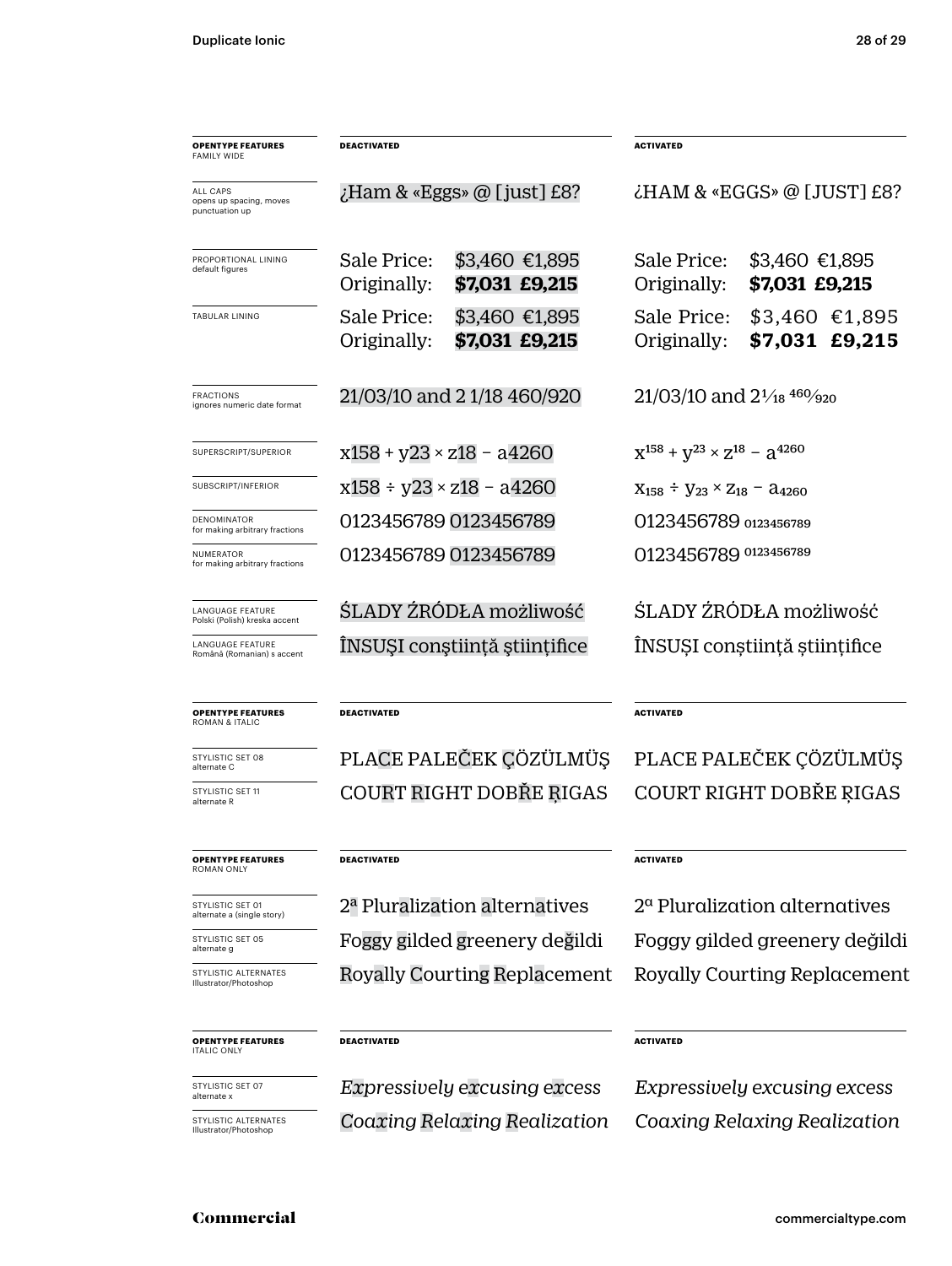| <b>OPENTYPE FEATURES</b><br><b>FAMILY WIDE</b>        | <b>DEACTIVATED</b>                        |                                     | <b>ACTIVATED</b>                                     |                                   |  |
|-------------------------------------------------------|-------------------------------------------|-------------------------------------|------------------------------------------------------|-----------------------------------|--|
| ALL CAPS<br>opens up spacing, moves<br>punctuation up | $\chi$ Ham & «Eggs» @ [just] £8?          |                                     | $\lambda$ HAM & «EGGS» @ [JUST] £8?                  |                                   |  |
| PROPORTIONAL LINING<br>default figures                | Sale Price:<br>Originally:                | \$3,460 €1,895<br>\$7,031 £9,215    | Sale Price:<br>Originally:                           | \$3,460 €1,895<br>\$7,031 £9,215  |  |
| <b>TABULAR LINING</b>                                 | Sale Price:<br>Originally:                | \$3,460 €1,895<br>\$7,031 £9,215    | Sale Price:<br>Originally:                           | $$3,460$ €1,895<br>\$7,031 £9,215 |  |
| <b>FRACTIONS</b><br>ignores numeric date format       | 21/03/10 and 21/18 460/920                |                                     | $21/03/10$ and $2\frac{1}{18}$ $460/920$             |                                   |  |
| SUPERSCRIPT/SUPERIOR                                  | $x158 + y23 \times z18 - a4260$           |                                     | $X^{158} + Y^{23} \times Z^{18} - Z^{4260}$          |                                   |  |
| SUBSCRIPT/INFERIOR                                    | $x158 \div y23 \times z18 - a4260$        |                                     | $X_{158} \div Y_{23} \times Z_{18} - \lambda_{4260}$ |                                   |  |
| <b>DENOMINATOR</b><br>for making arbitrary fractions  | 0123456789 0123456789                     |                                     | 0123456789 0123456789                                |                                   |  |
| NUMERATOR<br>for making arbitrary fractions           |                                           | 0123456789 0123456789               | 0123456789 0123456789                                |                                   |  |
| LANGUAGE FEATURE<br>Polski (Polish) kreska accent     | ŚLADY ŹRÓDŁA możliwość                    |                                     | ŚLADY ŻRÓDŁA możliwość                               |                                   |  |
| LANGUAGE FEATURE<br>Română (Romanian) s accent        | INSUȘI conștiință științifice             |                                     | ÎNSUȘI conștiință științifice                        |                                   |  |
| <b>OPENTYPE FEATURES</b><br>ROMAN & ITALIC            | <b>DEACTIVATED</b>                        |                                     | <b>ACTIVATED</b>                                     |                                   |  |
| STYLISTIC SET 08<br>alternate C                       | PLACE PALEČEK ÇÖZÜLMÜŞ                    |                                     | PLACE PALEČEK ÇÖZÜLMÜŞ                               |                                   |  |
| STYLISTIC SET 11<br>alternate R                       |                                           | COURT RIGHT DOBŘE RIGAS             | COURT RIGHT DOBŘE RIGAS                              |                                   |  |
| <b>OPENTYPE FEATURES</b><br>ROMAN ONLY                | <b>DEACTIVATED</b>                        |                                     | <b>ACTIVATED</b>                                     |                                   |  |
| STYLISTIC SET 01<br>alternate a (single story)        | 2 <sup>a</sup> Pluralization alternatives |                                     | $2a$ Pluralization alternatives                      |                                   |  |
| STYLISTIC SET 05<br>alternate g                       | Foggy gilded greenery değildi             |                                     |                                                      | Foggy gilded greenery değildi     |  |
| STYLISTIC ALTERNATES<br>Illustrator/Photoshop         |                                           | Royally Courting Replacement        | Royally Courting Replacement                         |                                   |  |
| <b>OPENTYPE FEATURES</b><br><b>ITALIC ONLY</b>        | <b>DEACTIVATED</b>                        |                                     | <b>ACTIVATED</b>                                     |                                   |  |
| STYLISTIC SET 07<br>alternate x                       |                                           | <i>Expressively excusing excess</i> | Expressively excusing excess                         |                                   |  |
| STYLISTIC ALTERNATES<br>Illustrator/Photoshop         | Coaxing Relaxing Realization              |                                     | Coaxing Relaxing Realization                         |                                   |  |

#### Commercial commercialtype.com